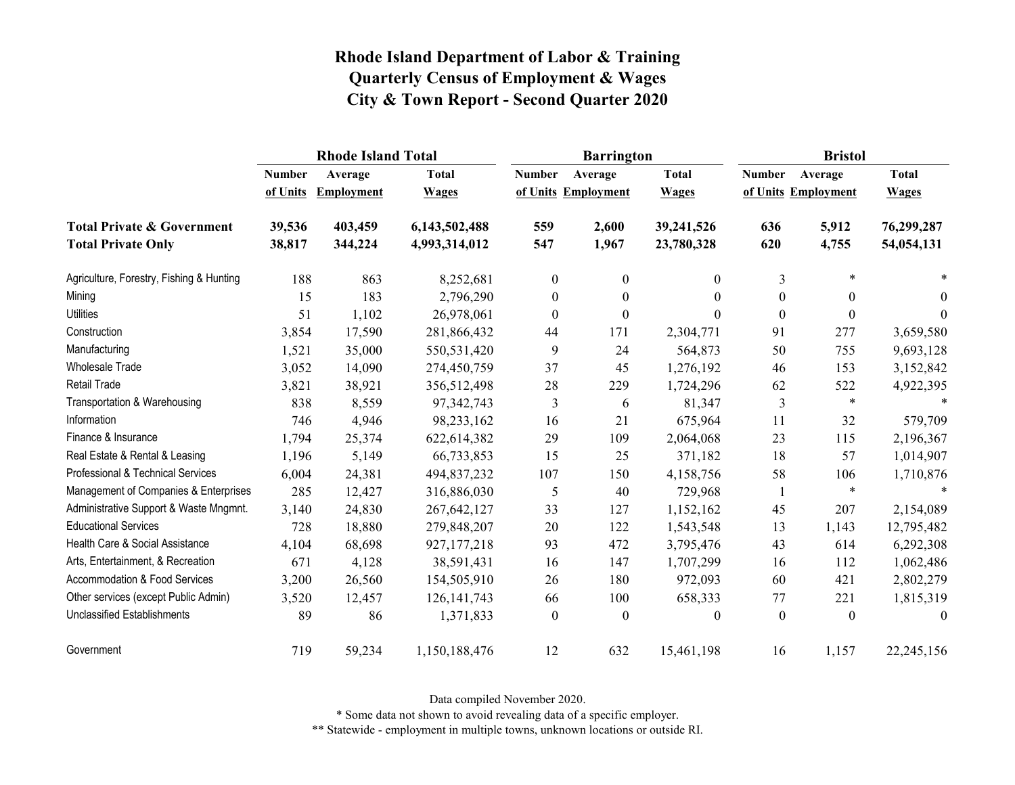|                                          |               | <b>Rhode Island Total</b> |               |                  | <b>Barrington</b>   |                | <b>Bristol</b>   |                     |              |
|------------------------------------------|---------------|---------------------------|---------------|------------------|---------------------|----------------|------------------|---------------------|--------------|
|                                          | <b>Number</b> | Average                   | <b>Total</b>  | <b>Number</b>    | Average             | <b>Total</b>   | <b>Number</b>    | Average             | <b>Total</b> |
|                                          | of Units      | Employment                | <b>Wages</b>  |                  | of Units Employment | <b>Wages</b>   |                  | of Units Employment | <b>Wages</b> |
| <b>Total Private &amp; Government</b>    | 39,536        | 403,459                   | 6,143,502,488 | 559              | 2,600               | 39,241,526     | 636              | 5,912               | 76,299,287   |
| <b>Total Private Only</b>                | 38,817        | 344,224                   | 4,993,314,012 | 547              | 1,967               | 23,780,328     | 620              | 4,755               | 54,054,131   |
| Agriculture, Forestry, Fishing & Hunting | 188           | 863                       | 8,252,681     | $\boldsymbol{0}$ | $\boldsymbol{0}$    | $\overline{0}$ | 3                | $\ast$              |              |
| Mining                                   | 15            | 183                       | 2,796,290     | $\boldsymbol{0}$ | $\boldsymbol{0}$    | $\theta$       | $\boldsymbol{0}$ | $\boldsymbol{0}$    | $\theta$     |
| <b>Utilities</b>                         | 51            | 1,102                     | 26,978,061    | $\boldsymbol{0}$ | $\boldsymbol{0}$    | 0              | $\boldsymbol{0}$ | $\boldsymbol{0}$    | $\theta$     |
| Construction                             | 3,854         | 17,590                    | 281,866,432   | 44               | 171                 | 2,304,771      | 91               | 277                 | 3,659,580    |
| Manufacturing                            | 1,521         | 35,000                    | 550,531,420   | 9                | 24                  | 564,873        | 50               | 755                 | 9,693,128    |
| <b>Wholesale Trade</b>                   | 3,052         | 14,090                    | 274,450,759   | 37               | 45                  | 1,276,192      | 46               | 153                 | 3,152,842    |
| Retail Trade                             | 3,821         | 38,921                    | 356,512,498   | 28               | 229                 | 1,724,296      | 62               | 522                 | 4,922,395    |
| Transportation & Warehousing             | 838           | 8,559                     | 97, 342, 743  | 3                | 6                   | 81,347         | 3                | $\ast$              |              |
| Information                              | 746           | 4,946                     | 98,233,162    | 16               | 21                  | 675,964        | 11               | 32                  | 579,709      |
| Finance & Insurance                      | 1,794         | 25,374                    | 622,614,382   | 29               | 109                 | 2,064,068      | 23               | 115                 | 2,196,367    |
| Real Estate & Rental & Leasing           | 1,196         | 5,149                     | 66,733,853    | 15               | 25                  | 371,182        | 18               | 57                  | 1,014,907    |
| Professional & Technical Services        | 6,004         | 24,381                    | 494,837,232   | 107              | 150                 | 4,158,756      | 58               | 106                 | 1,710,876    |
| Management of Companies & Enterprises    | 285           | 12,427                    | 316,886,030   | 5                | 40                  | 729,968        | 1                | $\ast$              | $\ast$       |
| Administrative Support & Waste Mngmnt.   | 3,140         | 24,830                    | 267, 642, 127 | 33               | 127                 | 1,152,162      | 45               | 207                 | 2,154,089    |
| <b>Educational Services</b>              | 728           | 18,880                    | 279,848,207   | 20               | 122                 | 1,543,548      | 13               | 1,143               | 12,795,482   |
| Health Care & Social Assistance          | 4,104         | 68,698                    | 927,177,218   | 93               | 472                 | 3,795,476      | 43               | 614                 | 6,292,308    |
| Arts, Entertainment, & Recreation        | 671           | 4,128                     | 38,591,431    | 16               | 147                 | 1,707,299      | 16               | 112                 | 1,062,486    |
| Accommodation & Food Services            | 3,200         | 26,560                    | 154,505,910   | 26               | 180                 | 972,093        | 60               | 421                 | 2,802,279    |
| Other services (except Public Admin)     | 3,520         | 12,457                    | 126, 141, 743 | 66               | 100                 | 658,333        | 77               | 221                 | 1,815,319    |
| <b>Unclassified Establishments</b>       | 89            | 86                        | 1,371,833     | $\theta$         | $\theta$            | $\theta$       | $\theta$         | $\theta$            | $\theta$     |
| Government                               | 719           | 59,234                    | 1,150,188,476 | 12               | 632                 | 15,461,198     | 16               | 1,157               | 22,245,156   |

Data compiled November 2020.

\* Some data not shown to avoid revealing data of a specific employer.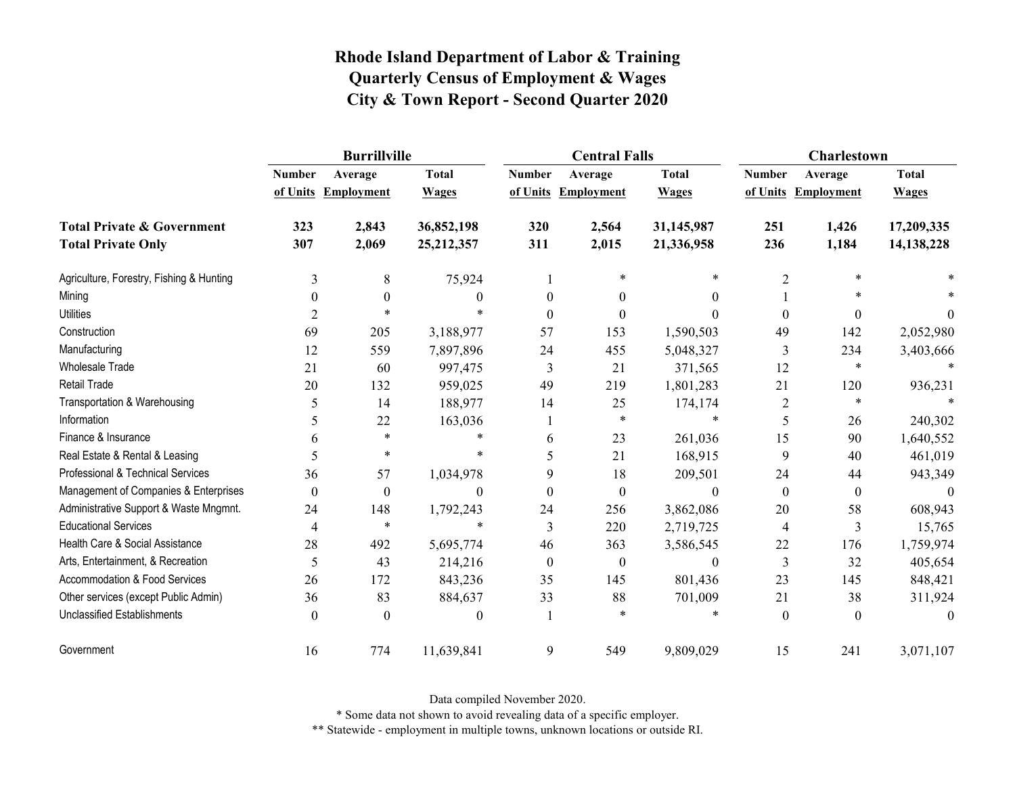|                                          |               | <b>Burrillville</b> |              |               | <b>Central Falls</b> |              | <b>Charlestown</b> |                     |              |
|------------------------------------------|---------------|---------------------|--------------|---------------|----------------------|--------------|--------------------|---------------------|--------------|
|                                          | <b>Number</b> | Average             | <b>Total</b> | <b>Number</b> | Average              | <b>Total</b> | <b>Number</b>      | Average             | <b>Total</b> |
|                                          |               | of Units Employment | <b>Wages</b> |               | of Units Employment  | <b>Wages</b> |                    | of Units Employment | <b>Wages</b> |
| <b>Total Private &amp; Government</b>    | 323           | 2,843               | 36,852,198   | 320           | 2,564                | 31,145,987   | 251                | 1,426               | 17,209,335   |
| <b>Total Private Only</b>                | 307           | 2,069               | 25, 212, 357 | 311           | 2,015                | 21,336,958   | 236                | 1,184               | 14, 138, 228 |
| Agriculture, Forestry, Fishing & Hunting | 3             | 8                   | 75,924       |               | $\ast$               | *            | 2                  | $\ast$              |              |
| Mining                                   | $\theta$      | $\theta$            | 0            | $\Omega$      | $\Omega$             | $\theta$     |                    | $\ast$              |              |
| <b>Utilities</b>                         | 2             | $\ast$              | $\star$      |               | 0                    |              | $\Omega$           | $\theta$            | $\theta$     |
| Construction                             | 69            | 205                 | 3,188,977    | 57            | 153                  | 1,590,503    | 49                 | 142                 | 2,052,980    |
| Manufacturing                            | 12            | 559                 | 7,897,896    | 24            | 455                  | 5,048,327    | 3                  | 234                 | 3,403,666    |
| <b>Wholesale Trade</b>                   | 21            | 60                  | 997,475      | 3             | 21                   | 371,565      | 12                 | $\ast$              | $\ast$       |
| <b>Retail Trade</b>                      | 20            | 132                 | 959,025      | 49            | 219                  | 1,801,283    | 21                 | 120                 | 936,231      |
| Transportation & Warehousing             | 5             | 14                  | 188,977      | 14            | 25                   | 174,174      | $\overline{2}$     | $\ast$              |              |
| Information                              | 5             | 22                  | 163,036      |               | $\ast$               | $\ast$       | 5                  | 26                  | 240,302      |
| Finance & Insurance                      | 6             | $\ast$              | $\ast$       | 6             | 23                   | 261,036      | 15                 | 90                  | 1,640,552    |
| Real Estate & Rental & Leasing           | 5             | $\ast$              | $\ast$       | 5             | 21                   | 168,915      | 9                  | 40                  | 461,019      |
| Professional & Technical Services        | 36            | 57                  | 1,034,978    | 9             | 18                   | 209,501      | 24                 | 44                  | 943,349      |
| Management of Companies & Enterprises    | $\theta$      | $\theta$            | 0            | $\Omega$      | $\theta$             | $\theta$     | $\theta$           | $\overline{0}$      | $\theta$     |
| Administrative Support & Waste Mngmnt.   | 24            | 148                 | 1,792,243    | 24            | 256                  | 3,862,086    | 20                 | 58                  | 608,943      |
| <b>Educational Services</b>              | 4             | $\ast$              | $\ast$       | 3             | 220                  | 2,719,725    | $\overline{4}$     | 3                   | 15,765       |
| Health Care & Social Assistance          | 28            | 492                 | 5,695,774    | 46            | 363                  | 3,586,545    | 22                 | 176                 | 1,759,974    |
| Arts, Entertainment, & Recreation        | 5             | 43                  | 214,216      | $\theta$      | $\theta$             | $\theta$     | 3                  | 32                  | 405,654      |
| <b>Accommodation &amp; Food Services</b> | 26            | 172                 | 843,236      | 35            | 145                  | 801,436      | 23                 | 145                 | 848,421      |
| Other services (except Public Admin)     | 36            | 83                  | 884,637      | 33            | 88                   | 701,009      | 21                 | 38                  | 311,924      |
| <b>Unclassified Establishments</b>       | $\theta$      | $\theta$            | 0            |               | $\star$              |              | $\theta$           | $\theta$            | $\theta$     |
| Government                               | 16            | 774                 | 11,639,841   | 9             | 549                  | 9,809,029    | 15                 | 241                 | 3,071,107    |

Data compiled November 2020.

\* Some data not shown to avoid revealing data of a specific employer.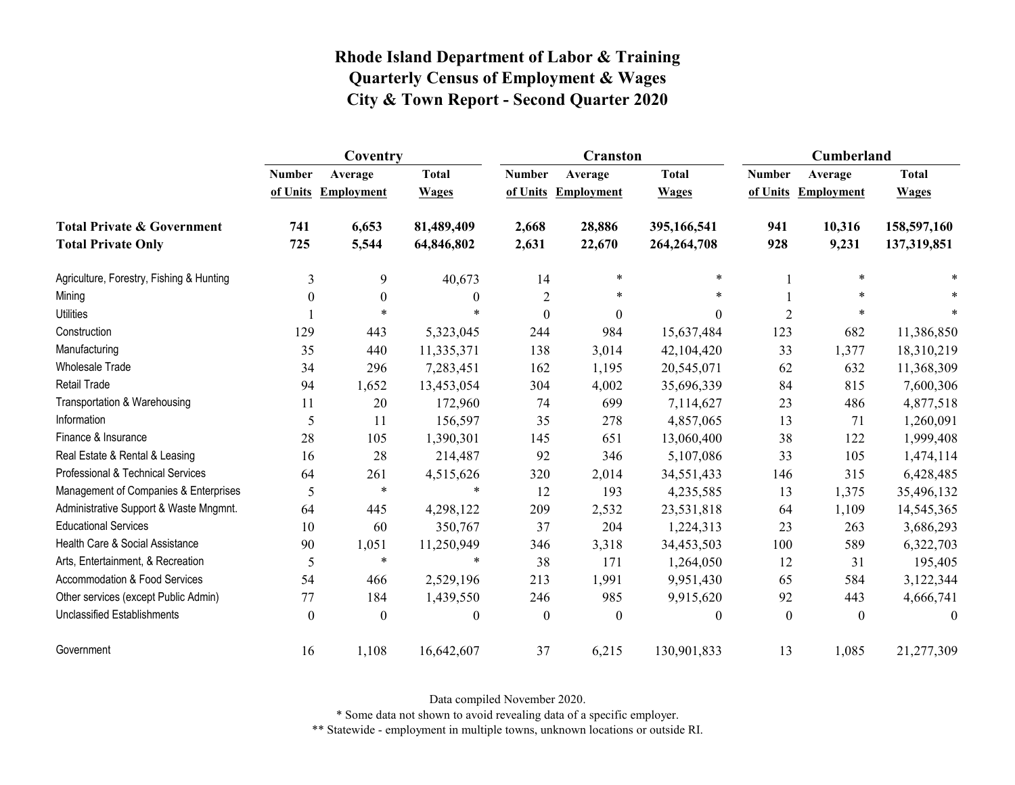|                                                                    | Coventry                  |                              |                              |                  | <b>Cranston</b>                |                              | Cumberland    |                                |                              |
|--------------------------------------------------------------------|---------------------------|------------------------------|------------------------------|------------------|--------------------------------|------------------------------|---------------|--------------------------------|------------------------------|
|                                                                    | <b>Number</b><br>of Units | Average<br><b>Employment</b> | <b>Total</b><br><b>Wages</b> | <b>Number</b>    | Average<br>of Units Employment | <b>Total</b><br><b>Wages</b> | <b>Number</b> | Average<br>of Units Employment | <b>Total</b><br><b>Wages</b> |
| <b>Total Private &amp; Government</b><br><b>Total Private Only</b> | 741<br>725                | 6,653<br>5,544               | 81,489,409<br>64,846,802     | 2,668<br>2,631   | 28,886<br>22,670               | 395,166,541<br>264, 264, 708 | 941<br>928    | 10,316<br>9,231                | 158,597,160<br>137,319,851   |
|                                                                    |                           |                              |                              |                  |                                |                              |               |                                |                              |
| Agriculture, Forestry, Fishing & Hunting                           | 3                         | 9                            | 40,673                       | 14               | $\ast$                         | $\ast$                       |               | $\ast$                         |                              |
| Mining                                                             | $\theta$                  | $\theta$                     | $\theta$                     | $\overline{c}$   | $\ast$                         | $\ast$                       |               | $\ast$                         |                              |
| <b>Utilities</b>                                                   |                           | $\ast$                       |                              | $\boldsymbol{0}$ | $\theta$                       | $\Omega$                     | 2             | $\ast$                         |                              |
| Construction                                                       | 129                       | 443                          | 5,323,045                    | 244              | 984                            | 15,637,484                   | 123           | 682                            | 11,386,850                   |
| Manufacturing                                                      | 35                        | 440                          | 11,335,371                   | 138              | 3,014                          | 42,104,420                   | 33            | 1,377                          | 18,310,219                   |
| <b>Wholesale Trade</b>                                             | 34                        | 296                          | 7,283,451                    | 162              | 1,195                          | 20,545,071                   | 62            | 632                            | 11,368,309                   |
| Retail Trade                                                       | 94                        | 1,652                        | 13,453,054                   | 304              | 4,002                          | 35,696,339                   | 84            | 815                            | 7,600,306                    |
| Transportation & Warehousing                                       | 11                        | 20                           | 172,960                      | 74               | 699                            | 7,114,627                    | 23            | 486                            | 4,877,518                    |
| Information                                                        | 5                         | 11                           | 156,597                      | 35               | 278                            | 4,857,065                    | 13            | 71                             | 1,260,091                    |
| Finance & Insurance                                                | 28                        | 105                          | 1,390,301                    | 145              | 651                            | 13,060,400                   | 38            | 122                            | 1,999,408                    |
| Real Estate & Rental & Leasing                                     | 16                        | 28                           | 214,487                      | 92               | 346                            | 5,107,086                    | 33            | 105                            | 1,474,114                    |
| Professional & Technical Services                                  | 64                        | 261                          | 4,515,626                    | 320              | 2,014                          | 34,551,433                   | 146           | 315                            | 6,428,485                    |
| Management of Companies & Enterprises                              | 5                         | $\ast$                       | $\ast$                       | 12               | 193                            | 4,235,585                    | 13            | 1,375                          | 35,496,132                   |
| Administrative Support & Waste Mngmnt.                             | 64                        | 445                          | 4,298,122                    | 209              | 2,532                          | 23,531,818                   | 64            | 1,109                          | 14,545,365                   |
| <b>Educational Services</b>                                        | 10                        | 60                           | 350,767                      | 37               | 204                            | 1,224,313                    | 23            | 263                            | 3,686,293                    |
| Health Care & Social Assistance                                    | 90                        | 1,051                        | 11,250,949                   | 346              | 3,318                          | 34,453,503                   | 100           | 589                            | 6,322,703                    |
| Arts, Entertainment, & Recreation                                  | 5                         | $\ast$                       | $\ast$                       | 38               | 171                            | 1,264,050                    | 12            | 31                             | 195,405                      |
| <b>Accommodation &amp; Food Services</b>                           | 54                        | 466                          | 2,529,196                    | 213              | 1,991                          | 9,951,430                    | 65            | 584                            | 3,122,344                    |
| Other services (except Public Admin)                               | 77                        | 184                          | 1,439,550                    | 246              | 985                            | 9,915,620                    | 92            | 443                            | 4,666,741                    |
| <b>Unclassified Establishments</b>                                 | $\theta$                  | $\theta$                     | $\theta$                     | $\mathbf{0}$     | $\theta$                       | $\theta$                     | $\theta$      | $\theta$                       | $\theta$                     |
| Government                                                         | 16                        | 1,108                        | 16,642,607                   | 37               | 6,215                          | 130,901,833                  | 13            | 1,085                          | 21,277,309                   |

Data compiled November 2020.

\* Some data not shown to avoid revealing data of a specific employer.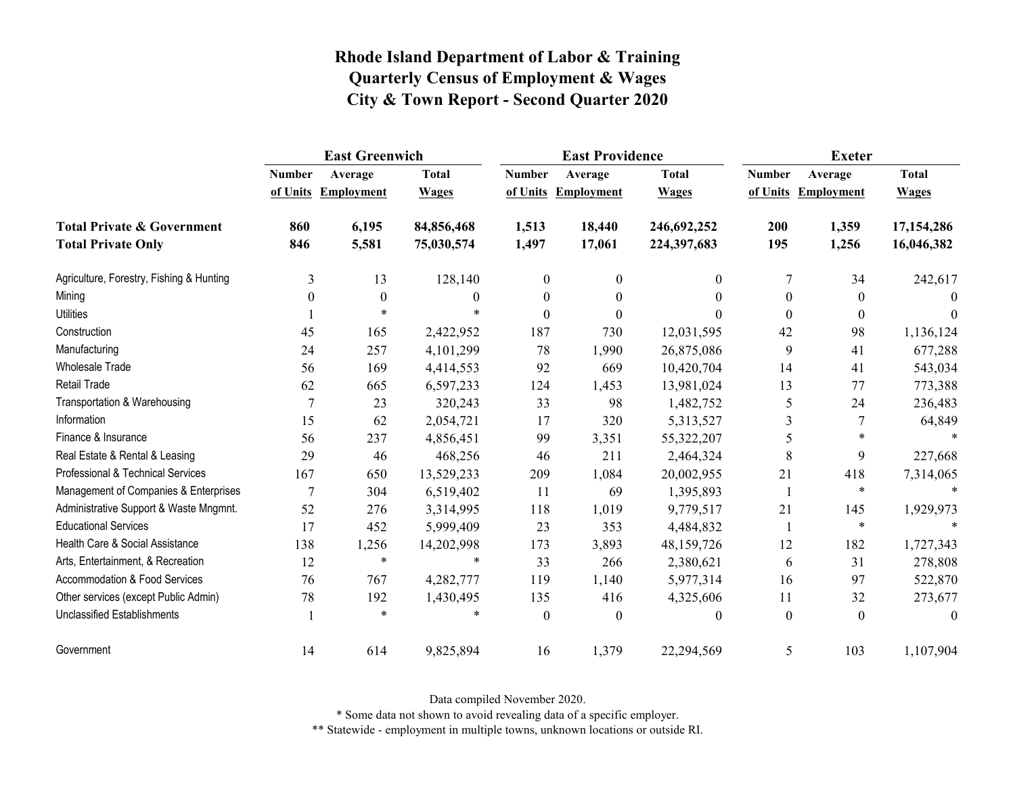|                                          | <b>East Greenwich</b> |                   |              |                  | <b>East Providence</b> |              | <b>Exeter</b> |                     |              |
|------------------------------------------|-----------------------|-------------------|--------------|------------------|------------------------|--------------|---------------|---------------------|--------------|
|                                          | <b>Number</b>         | Average           | <b>Total</b> | <b>Number</b>    | Average                | <b>Total</b> | <b>Number</b> | Average             | <b>Total</b> |
|                                          | of Units              | <b>Employment</b> | <b>Wages</b> | of Units         | <b>Employment</b>      | <b>Wages</b> |               | of Units Employment | <b>Wages</b> |
| <b>Total Private &amp; Government</b>    | 860                   | 6,195             | 84,856,468   | 1,513            | 18,440                 | 246,692,252  | 200           | 1,359               | 17, 154, 286 |
| <b>Total Private Only</b>                | 846                   | 5,581             | 75,030,574   | 1,497            | 17,061                 | 224,397,683  | 195           | 1,256               | 16,046,382   |
| Agriculture, Forestry, Fishing & Hunting | 3                     | 13                | 128,140      | $\boldsymbol{0}$ | $\theta$               | $\theta$     | 7             | 34                  | 242,617      |
| Mining                                   | $\theta$              | $\boldsymbol{0}$  | $\Omega$     | $\boldsymbol{0}$ | $\theta$               | $\Omega$     | $\theta$      | $\overline{0}$      | $\Omega$     |
| <b>Utilities</b>                         |                       | $\ast$            | ÷            | $\theta$         | $\theta$               |              | $\theta$      | $\mathbf{0}$        | $\Omega$     |
| Construction                             | 45                    | 165               | 2,422,952    | 187              | 730                    | 12,031,595   | 42            | 98                  | 1,136,124    |
| Manufacturing                            | 24                    | 257               | 4,101,299    | 78               | 1,990                  | 26,875,086   | 9             | 41                  | 677,288      |
| Wholesale Trade                          | 56                    | 169               | 4,414,553    | 92               | 669                    | 10,420,704   | 14            | 41                  | 543,034      |
| <b>Retail Trade</b>                      | 62                    | 665               | 6,597,233    | 124              | 1,453                  | 13,981,024   | 13            | 77                  | 773,388      |
| Transportation & Warehousing             | 7                     | 23                | 320,243      | 33               | 98                     | 1,482,752    | 5             | 24                  | 236,483      |
| Information                              | 15                    | 62                | 2,054,721    | 17               | 320                    | 5,313,527    | 3             | 7                   | 64,849       |
| Finance & Insurance                      | 56                    | 237               | 4,856,451    | 99               | 3,351                  | 55,322,207   | 5             | *                   |              |
| Real Estate & Rental & Leasing           | 29                    | 46                | 468,256      | 46               | 211                    | 2,464,324    | 8             | 9                   | 227,668      |
| Professional & Technical Services        | 167                   | 650               | 13,529,233   | 209              | 1,084                  | 20,002,955   | 21            | 418                 | 7,314,065    |
| Management of Companies & Enterprises    | 7                     | 304               | 6,519,402    | 11               | 69                     | 1,395,893    | 1             | $\ast$              | $\ast$       |
| Administrative Support & Waste Mngmnt.   | 52                    | 276               | 3,314,995    | 118              | 1,019                  | 9,779,517    | 21            | 145                 | 1,929,973    |
| <b>Educational Services</b>              | 17                    | 452               | 5,999,409    | 23               | 353                    | 4,484,832    | 1             | $\ast$              |              |
| Health Care & Social Assistance          | 138                   | 1,256             | 14,202,998   | 173              | 3,893                  | 48,159,726   | 12            | 182                 | 1,727,343    |
| Arts, Entertainment, & Recreation        | 12                    | $\ast$            | $\ast$       | 33               | 266                    | 2,380,621    | 6             | 31                  | 278,808      |
| <b>Accommodation &amp; Food Services</b> | 76                    | 767               | 4,282,777    | 119              | 1,140                  | 5,977,314    | 16            | 97                  | 522,870      |
| Other services (except Public Admin)     | 78                    | 192               | 1,430,495    | 135              | 416                    | 4,325,606    | 11            | 32                  | 273,677      |
| <b>Unclassified Establishments</b>       |                       | $\ast$            | $\ast$       | $\theta$         | $\theta$               | $\theta$     | $\theta$      | $\theta$            | $\theta$     |
| Government                               | 14                    | 614               | 9,825,894    | 16               | 1,379                  | 22,294,569   | 5             | 103                 | 1,107,904    |

Data compiled November 2020.

\* Some data not shown to avoid revealing data of a specific employer.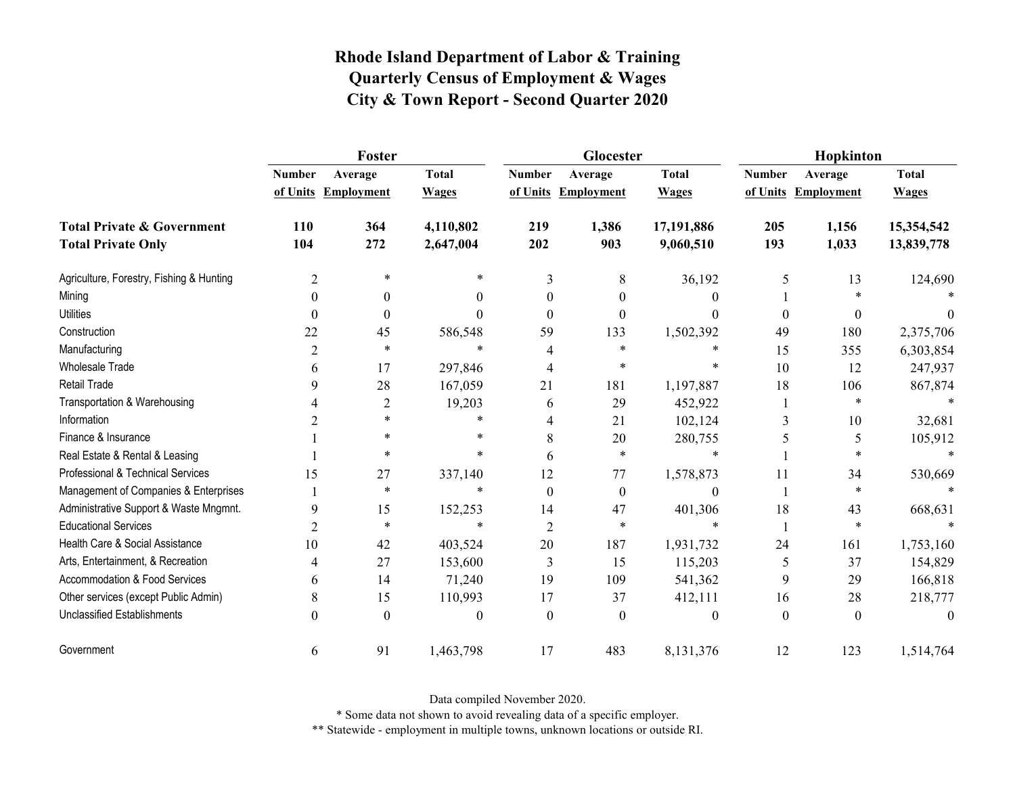|                                          | <b>Foster</b>  |                     |              |                | Glocester           |              | Hopkinton     |                     |              |
|------------------------------------------|----------------|---------------------|--------------|----------------|---------------------|--------------|---------------|---------------------|--------------|
|                                          | <b>Number</b>  | Average             | <b>Total</b> | <b>Number</b>  | Average             | <b>Total</b> | <b>Number</b> | Average             | <b>Total</b> |
|                                          |                | of Units Employment | <b>Wages</b> |                | of Units Employment | <b>Wages</b> |               | of Units Employment | <b>Wages</b> |
| <b>Total Private &amp; Government</b>    | 110            | 364                 | 4,110,802    | 219            | 1,386               | 17,191,886   | 205           | 1,156               | 15,354,542   |
| <b>Total Private Only</b>                | 104            | 272                 | 2,647,004    | 202            | 903                 | 9,060,510    | 193           | 1,033               | 13,839,778   |
| Agriculture, Forestry, Fishing & Hunting | 2              | *                   | $\ast$       | 3              | 8                   | 36,192       | 5             | 13                  | 124,690      |
| Mining                                   | $\Omega$       | $\theta$            | $\theta$     | $\theta$       | $\theta$            | 0            |               | $\ast$              |              |
| <b>Utilities</b>                         | $\Omega$       | $\theta$            | 0            | $\Omega$       | $\Omega$            | $\Omega$     | $\theta$      | $\theta$            | $\Omega$     |
| Construction                             | 22             | 45                  | 586,548      | 59             | 133                 | 1,502,392    | 49            | 180                 | 2,375,706    |
| Manufacturing                            | $\overline{c}$ | $\ast$              | $\ast$       |                | $\ast$              | $\ast$       | 15            | 355                 | 6,303,854    |
| Wholesale Trade                          | 6              | 17                  | 297,846      | 4              | $\ast$              | $\ast$       | 10            | 12                  | 247,937      |
| <b>Retail Trade</b>                      | 9              | 28                  | 167,059      | 21             | 181                 | 1,197,887    | 18            | 106                 | 867,874      |
| Transportation & Warehousing             |                | $\overline{2}$      | 19,203       | 6              | 29                  | 452,922      |               | $\ast$              |              |
| Information                              | 2              | $\star$             | $\ast$       | 4              | 21                  | 102,124      | 3             | 10                  | 32,681       |
| Finance & Insurance                      |                | *                   | *            | 8              | 20                  | 280,755      |               | 5                   | 105,912      |
| Real Estate & Rental & Leasing           |                | $\ast$              | $\ast$       | 6              | $\star$             | $\ast$       |               | $\ast$              |              |
| Professional & Technical Services        | 15             | 27                  | 337,140      | 12             | 77                  | 1,578,873    | 11            | 34                  | 530,669      |
| Management of Companies & Enterprises    |                | $\ast$              | $\ast$       | $\theta$       | $\theta$            | $\theta$     |               | $\ast$              | $\star$      |
| Administrative Support & Waste Mngmnt.   | 9              | 15                  | 152,253      | 14             | 47                  | 401,306      | 18            | 43                  | 668,631      |
| <b>Educational Services</b>              | 2              | $\ast$              | $\ast$       | $\overline{2}$ | $\ast$              | $\ast$       |               | $\ast$              |              |
| Health Care & Social Assistance          | 10             | 42                  | 403,524      | 20             | 187                 | 1,931,732    | 24            | 161                 | 1,753,160    |
| Arts, Entertainment, & Recreation        | 4              | 27                  | 153,600      | 3              | 15                  | 115,203      | 5             | 37                  | 154,829      |
| <b>Accommodation &amp; Food Services</b> | 6              | 14                  | 71,240       | 19             | 109                 | 541,362      | 9             | 29                  | 166,818      |
| Other services (except Public Admin)     | 8              | 15                  | 110,993      | 17             | 37                  | 412,111      | 16            | 28                  | 218,777      |
| <b>Unclassified Establishments</b>       | $\Omega$       | $\theta$            | $\theta$     | $\theta$       | $\Omega$            | $\theta$     | $\theta$      | $\theta$            | $\theta$     |
| Government                               | 6              | 91                  | 1,463,798    | 17             | 483                 | 8,131,376    | 12            | 123                 | 1,514,764    |

Data compiled November 2020.

\* Some data not shown to avoid revealing data of a specific employer.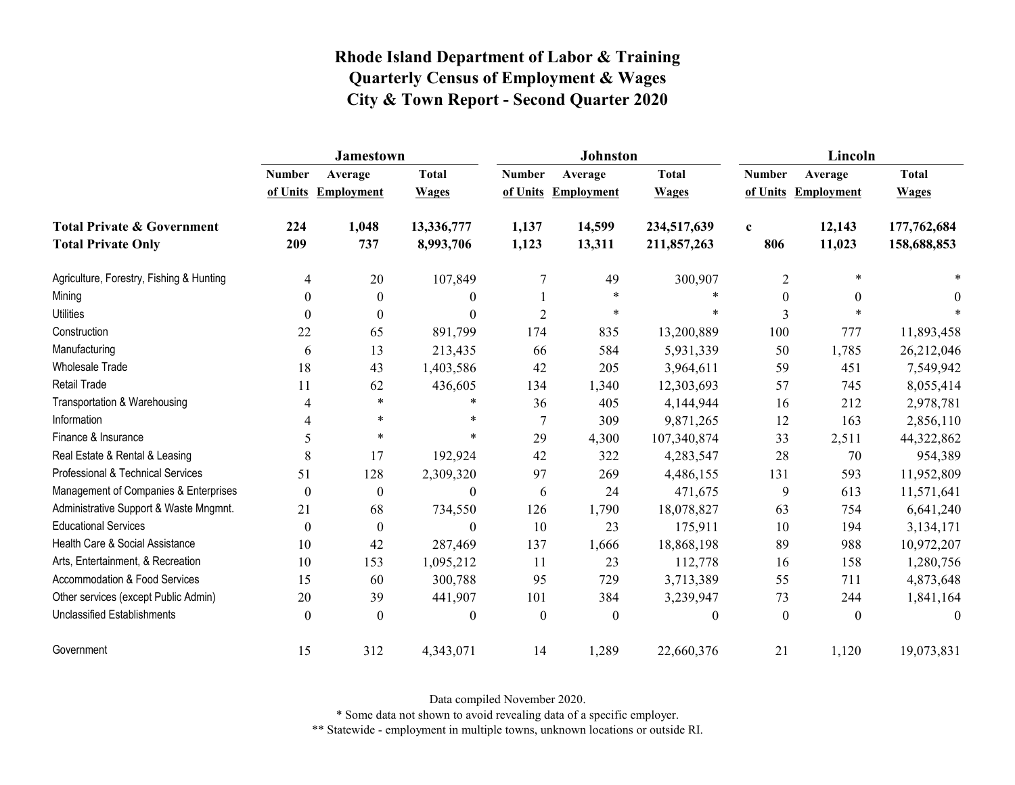|                                                                    | <b>Jamestown</b> |                                |                              |                | <b>Johnston</b>                |                              | Lincoln            |                                |                              |  |
|--------------------------------------------------------------------|------------------|--------------------------------|------------------------------|----------------|--------------------------------|------------------------------|--------------------|--------------------------------|------------------------------|--|
|                                                                    | <b>Number</b>    | Average<br>of Units Employment | <b>Total</b><br><b>Wages</b> | <b>Number</b>  | Average<br>of Units Employment | <b>Total</b><br><b>Wages</b> | <b>Number</b>      | Average<br>of Units Employment | <b>Total</b><br><b>Wages</b> |  |
| <b>Total Private &amp; Government</b><br><b>Total Private Only</b> | 224<br>209       | 1,048<br>737                   | 13,336,777<br>8,993,706      | 1,137<br>1,123 | 14,599<br>13,311               | 234,517,639<br>211,857,263   | $\mathbf c$<br>806 | 12,143<br>11,023               | 177,762,684<br>158,688,853   |  |
| Agriculture, Forestry, Fishing & Hunting                           | 4                | 20                             | 107,849                      | 7              | 49                             | 300,907                      | $\overline{2}$     | $\ast$                         |                              |  |
| Mining                                                             | $\Omega$         | $\boldsymbol{0}$               | $\boldsymbol{0}$             |                | $\star$                        | $\ast$                       | $\boldsymbol{0}$   | $\theta$                       | 0                            |  |
| <b>Utilities</b>                                                   | $\Omega$         | $\theta$                       | $\theta$                     | $\overline{2}$ | $\star$                        | $\ast$                       | 3                  | $\ast$                         |                              |  |
| Construction                                                       | 22               | 65                             | 891,799                      | 174            | 835                            | 13,200,889                   | 100                | 777                            | 11,893,458                   |  |
| Manufacturing                                                      | 6                | 13                             | 213,435                      | 66             | 584                            | 5,931,339                    | 50                 | 1,785                          | 26,212,046                   |  |
| Wholesale Trade                                                    | 18               | 43                             | 1,403,586                    | 42             | 205                            | 3,964,611                    | 59                 | 451                            | 7,549,942                    |  |
| <b>Retail Trade</b>                                                | 11               | 62                             | 436,605                      | 134            | 1,340                          | 12,303,693                   | 57                 | 745                            | 8,055,414                    |  |
| Transportation & Warehousing                                       | 4                | $\ast$                         | $\ast$                       | 36             | 405                            | 4,144,944                    | 16                 | 212                            | 2,978,781                    |  |
| Information                                                        | 4                | $\ast$                         | *                            | 7              | 309                            | 9,871,265                    | 12                 | 163                            | 2,856,110                    |  |
| Finance & Insurance                                                | 5                | $\ast$                         | $\ast$                       | 29             | 4,300                          | 107,340,874                  | 33                 | 2,511                          | 44,322,862                   |  |
| Real Estate & Rental & Leasing                                     | 8                | 17                             | 192,924                      | 42             | 322                            | 4,283,547                    | 28                 | 70                             | 954,389                      |  |
| Professional & Technical Services                                  | 51               | 128                            | 2,309,320                    | 97             | 269                            | 4,486,155                    | 131                | 593                            | 11,952,809                   |  |
| Management of Companies & Enterprises                              | $\theta$         | $\theta$                       | $\theta$                     | 6              | 24                             | 471,675                      | 9                  | 613                            | 11,571,641                   |  |
| Administrative Support & Waste Mngmnt.                             | 21               | 68                             | 734,550                      | 126            | 1,790                          | 18,078,827                   | 63                 | 754                            | 6,641,240                    |  |
| <b>Educational Services</b>                                        | $\mathbf{0}$     | $\boldsymbol{0}$               | $\boldsymbol{0}$             | 10             | 23                             | 175,911                      | 10                 | 194                            | 3,134,171                    |  |
| Health Care & Social Assistance                                    | 10               | 42                             | 287,469                      | 137            | 1,666                          | 18,868,198                   | 89                 | 988                            | 10,972,207                   |  |
| Arts, Entertainment, & Recreation                                  | 10               | 153                            | 1,095,212                    | 11             | 23                             | 112,778                      | 16                 | 158                            | 1,280,756                    |  |
| <b>Accommodation &amp; Food Services</b>                           | 15               | 60                             | 300,788                      | 95             | 729                            | 3,713,389                    | 55                 | 711                            | 4,873,648                    |  |
| Other services (except Public Admin)                               | 20               | 39                             | 441,907                      | 101            | 384                            | 3,239,947                    | 73                 | 244                            | 1,841,164                    |  |
| Unclassified Establishments                                        | $\theta$         | $\theta$                       | $\mathbf{0}$                 | $\mathbf{0}$   | $\boldsymbol{0}$               | $\boldsymbol{0}$             | $\theta$           | $\theta$                       | $\theta$                     |  |
| Government                                                         | 15               | 312                            | 4,343,071                    | 14             | 1,289                          | 22,660,376                   | 21                 | 1,120                          | 19,073,831                   |  |

Data compiled November 2020.

\* Some data not shown to avoid revealing data of a specific employer.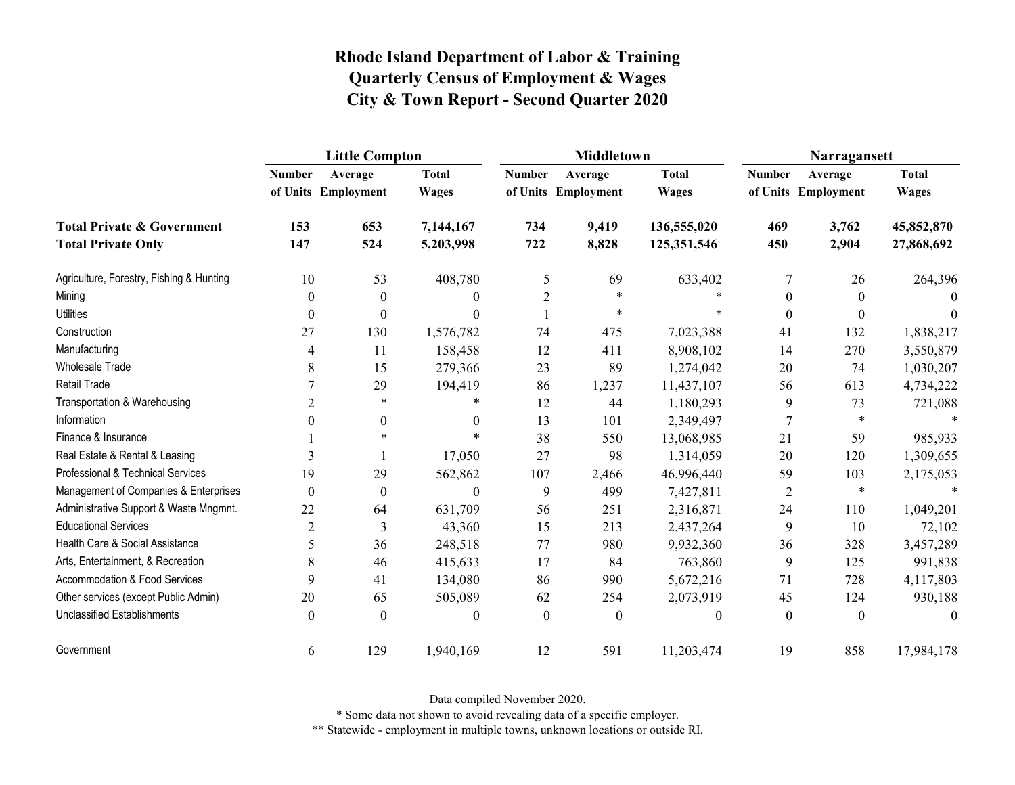|                                          | <b>Little Compton</b>     |                   |              | <b>Middletown</b> |                                | Narragansett |                           |                              |                              |
|------------------------------------------|---------------------------|-------------------|--------------|-------------------|--------------------------------|--------------|---------------------------|------------------------------|------------------------------|
|                                          | <b>Number</b><br>of Units | Average           | <b>Total</b> | <b>Number</b>     | Average<br>of Units Employment | <b>Total</b> | <b>Number</b><br>of Units | Average<br><b>Employment</b> | <b>Total</b><br><b>Wages</b> |
|                                          |                           | <b>Employment</b> | <b>Wages</b> |                   |                                | <b>Wages</b> |                           |                              |                              |
| <b>Total Private &amp; Government</b>    | 153                       | 653               | 7,144,167    | 734               | 9,419                          | 136,555,020  | 469                       | 3,762                        | 45,852,870                   |
| <b>Total Private Only</b>                | 147                       | 524               | 5,203,998    | 722               | 8,828                          | 125,351,546  | 450                       | 2,904                        | 27,868,692                   |
| Agriculture, Forestry, Fishing & Hunting | 10                        | 53                | 408,780      | 5                 | 69                             | 633,402      | 7                         | 26                           | 264,396                      |
| Mining                                   | $\theta$                  | $\boldsymbol{0}$  | $\theta$     | $\overline{2}$    | $\star$                        |              | $\mathbf{0}$              | $\boldsymbol{0}$             | $\theta$                     |
| <b>Utilities</b>                         | $\theta$                  | $\boldsymbol{0}$  | $\Omega$     |                   | $\ast$                         | $\star$      | $\mathbf{0}$              | $\theta$                     | $\theta$                     |
| Construction                             | 27                        | 130               | 1,576,782    | 74                | 475                            | 7,023,388    | 41                        | 132                          | 1,838,217                    |
| Manufacturing                            | 4                         | 11                | 158,458      | 12                | 411                            | 8,908,102    | 14                        | 270                          | 3,550,879                    |
| <b>Wholesale Trade</b>                   | 8                         | 15                | 279,366      | 23                | 89                             | 1,274,042    | 20                        | 74                           | 1,030,207                    |
| Retail Trade                             |                           | 29                | 194,419      | 86                | 1,237                          | 11,437,107   | 56                        | 613                          | 4,734,222                    |
| Transportation & Warehousing             | 2                         | $\ast$            | $*$          | 12                | 44                             | 1,180,293    | 9                         | 73                           | 721,088                      |
| Information                              | $\theta$                  | $\boldsymbol{0}$  | $\theta$     | 13                | 101                            | 2,349,497    | $\overline{7}$            | $\ast$                       |                              |
| Finance & Insurance                      |                           | $\ast$            | $\ast$       | 38                | 550                            | 13,068,985   | 21                        | 59                           | 985,933                      |
| Real Estate & Rental & Leasing           | 3                         |                   | 17,050       | 27                | 98                             | 1,314,059    | 20                        | 120                          | 1,309,655                    |
| Professional & Technical Services        | 19                        | 29                | 562,862      | 107               | 2,466                          | 46,996,440   | 59                        | 103                          | 2,175,053                    |
| Management of Companies & Enterprises    | $\boldsymbol{0}$          | $\boldsymbol{0}$  | $\Omega$     | 9                 | 499                            | 7,427,811    | $\overline{2}$            | $\ast$                       | $\ast$                       |
| Administrative Support & Waste Mngmnt.   | 22                        | 64                | 631,709      | 56                | 251                            | 2,316,871    | 24                        | 110                          | 1,049,201                    |
| <b>Educational Services</b>              | $\overline{2}$            | 3                 | 43,360       | 15                | 213                            | 2,437,264    | 9                         | 10                           | 72,102                       |
| Health Care & Social Assistance          | 5                         | 36                | 248,518      | 77                | 980                            | 9,932,360    | 36                        | 328                          | 3,457,289                    |
| Arts, Entertainment, & Recreation        | 8                         | 46                | 415,633      | 17                | 84                             | 763,860      | 9                         | 125                          | 991,838                      |
| <b>Accommodation &amp; Food Services</b> | 9                         | 41                | 134,080      | 86                | 990                            | 5,672,216    | 71                        | 728                          | 4,117,803                    |
| Other services (except Public Admin)     | 20                        | 65                | 505,089      | 62                | 254                            | 2,073,919    | 45                        | 124                          | 930,188                      |
| <b>Unclassified Establishments</b>       | $\theta$                  | $\theta$          | $\theta$     | $\theta$          | $\theta$                       | $\theta$     | $\theta$                  | $\theta$                     | $\theta$                     |
| Government                               | 6                         | 129               | 1,940,169    | 12                | 591                            | 11,203,474   | 19                        | 858                          | 17,984,178                   |

Data compiled November 2020.

\* Some data not shown to avoid revealing data of a specific employer.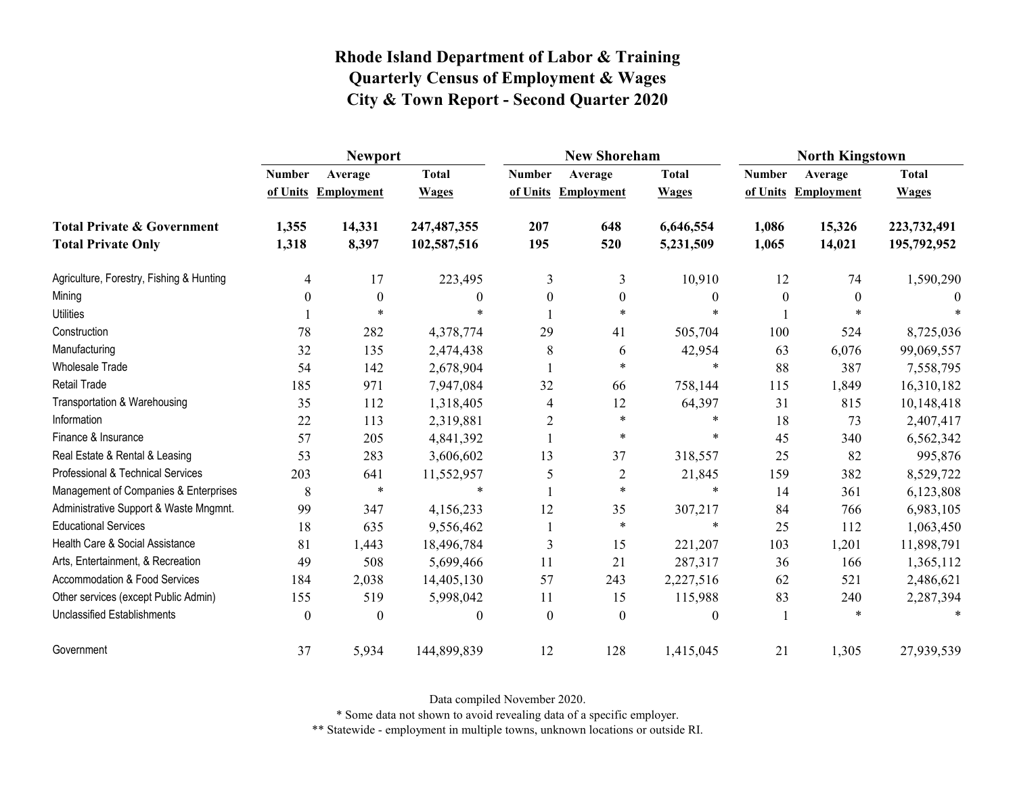|                                                                    | <b>Newport</b> |                                |                              |                | <b>New Shoreham</b>            |                              | <b>North Kingstown</b> |                                |                              |  |
|--------------------------------------------------------------------|----------------|--------------------------------|------------------------------|----------------|--------------------------------|------------------------------|------------------------|--------------------------------|------------------------------|--|
|                                                                    | <b>Number</b>  | Average<br>of Units Employment | <b>Total</b><br><b>Wages</b> | <b>Number</b>  | Average<br>of Units Employment | <b>Total</b><br><b>Wages</b> | <b>Number</b>          | Average<br>of Units Employment | <b>Total</b><br><b>Wages</b> |  |
| <b>Total Private &amp; Government</b><br><b>Total Private Only</b> | 1,355<br>1,318 | 14,331<br>8,397                | 247, 487, 355<br>102,587,516 | 207<br>195     | 648<br>520                     | 6,646,554<br>5,231,509       | 1,086<br>1,065         | 15,326<br>14,021               | 223,732,491<br>195,792,952   |  |
| Agriculture, Forestry, Fishing & Hunting                           | 4              | 17                             | 223,495                      | 3              | 3                              | 10,910                       | 12                     | 74                             | 1,590,290                    |  |
| Mining                                                             | 0              | $\mathbf{0}$                   | 0                            | $\theta$       | $\boldsymbol{0}$               | $\mathbf{0}$                 | $\boldsymbol{0}$       | $\mathbf{0}$                   | $\theta$                     |  |
| <b>Utilities</b>                                                   |                | $\ast$                         | $\ast$                       |                | $\ast$                         |                              |                        | $*$                            |                              |  |
| Construction                                                       | 78             | 282                            | 4,378,774                    | 29             | 41                             | 505,704                      | 100                    | 524                            | 8,725,036                    |  |
| Manufacturing                                                      | 32             | 135                            | 2,474,438                    | 8              | 6                              | 42,954                       | 63                     | 6,076                          | 99,069,557                   |  |
| Wholesale Trade                                                    | 54             | 142                            | 2,678,904                    |                | $\ast$                         | $\ast$                       | 88                     | 387                            | 7,558,795                    |  |
| Retail Trade                                                       | 185            | 971                            | 7,947,084                    | 32             | 66                             | 758,144                      | 115                    | 1,849                          | 16,310,182                   |  |
| Transportation & Warehousing                                       | 35             | 112                            | 1,318,405                    | 4              | 12                             | 64,397                       | 31                     | 815                            | 10,148,418                   |  |
| Information                                                        | 22             | 113                            | 2,319,881                    | $\overline{2}$ | $\star$                        | $\ast$                       | 18                     | 73                             | 2,407,417                    |  |
| Finance & Insurance                                                | 57             | 205                            | 4,841,392                    |                | $\ast$                         | $\ast$                       | 45                     | 340                            | 6,562,342                    |  |
| Real Estate & Rental & Leasing                                     | 53             | 283                            | 3,606,602                    | 13             | 37                             | 318,557                      | 25                     | 82                             | 995,876                      |  |
| Professional & Technical Services                                  | 203            | 641                            | 11,552,957                   | 5              | $\overline{2}$                 | 21,845                       | 159                    | 382                            | 8,529,722                    |  |
| Management of Companies & Enterprises                              | 8              | $\ast$                         | $\ast$                       |                | $\star$                        | $\ast$                       | 14                     | 361                            | 6,123,808                    |  |
| Administrative Support & Waste Mngmnt.                             | 99             | 347                            | 4,156,233                    | 12             | 35                             | 307,217                      | 84                     | 766                            | 6,983,105                    |  |
| <b>Educational Services</b>                                        | 18             | 635                            | 9,556,462                    |                | $\star$                        | $\ast$                       | 25                     | 112                            | 1,063,450                    |  |
| Health Care & Social Assistance                                    | 81             | 1,443                          | 18,496,784                   | 3              | 15                             | 221,207                      | 103                    | 1,201                          | 11,898,791                   |  |
| Arts, Entertainment, & Recreation                                  | 49             | 508                            | 5,699,466                    | 11             | 21                             | 287,317                      | 36                     | 166                            | 1,365,112                    |  |
| <b>Accommodation &amp; Food Services</b>                           | 184            | 2,038                          | 14,405,130                   | 57             | 243                            | 2,227,516                    | 62                     | 521                            | 2,486,621                    |  |
| Other services (except Public Admin)                               | 155            | 519                            | 5,998,042                    | 11             | 15                             | 115,988                      | 83                     | 240                            | 2,287,394                    |  |
| <b>Unclassified Establishments</b>                                 | $\theta$       | $\Omega$                       | 0                            | $\theta$       | $\theta$                       | $\theta$                     |                        | $\ast$                         | $\ast$                       |  |
| Government                                                         | 37             | 5,934                          | 144,899,839                  | 12             | 128                            | 1,415,045                    | 21                     | 1,305                          | 27,939,539                   |  |

Data compiled November 2020.

\* Some data not shown to avoid revealing data of a specific employer.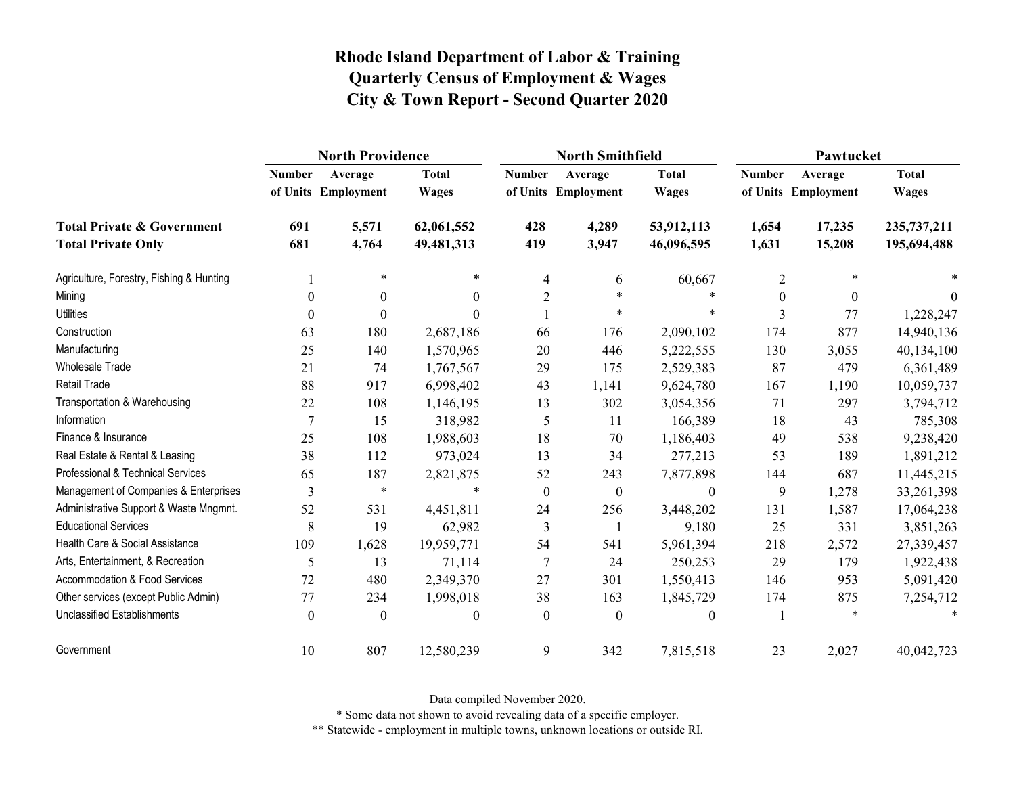|                                          | <b>North Providence</b> |                     |                  |                  | <b>North Smithfield</b> |                  | Pawtucket     |                     |              |
|------------------------------------------|-------------------------|---------------------|------------------|------------------|-------------------------|------------------|---------------|---------------------|--------------|
|                                          | <b>Number</b>           | Average             | <b>Total</b>     | <b>Number</b>    | Average                 | <b>Total</b>     | <b>Number</b> | Average             | <b>Total</b> |
|                                          |                         | of Units Employment | <b>Wages</b>     |                  | of Units Employment     | <b>Wages</b>     |               | of Units Employment | <b>Wages</b> |
| <b>Total Private &amp; Government</b>    | 691                     | 5,571               | 62,061,552       | 428              | 4,289                   | 53,912,113       | 1,654         | 17,235              | 235,737,211  |
| <b>Total Private Only</b>                | 681                     | 4,764               | 49,481,313       | 419              | 3,947                   | 46,096,595       | 1,631         | 15,208              | 195,694,488  |
| Agriculture, Forestry, Fishing & Hunting |                         | $\ast$              | $\ast$           | $\overline{4}$   | 6                       | 60,667           | 2             | $\ast$              |              |
| Mining                                   | $\theta$                | $\theta$            | $\mathbf{0}$     | $\overline{2}$   | $\ast$                  | $\ast$           | $\theta$      | $\theta$            | $\theta$     |
| <b>Utilities</b>                         | $\theta$                | $\Omega$            | $\Omega$         |                  | $\ast$                  | $\ast$           | 3             | 77                  | 1,228,247    |
| Construction                             | 63                      | 180                 | 2,687,186        | 66               | 176                     | 2,090,102        | 174           | 877                 | 14,940,136   |
| Manufacturing                            | 25                      | 140                 | 1,570,965        | 20               | 446                     | 5,222,555        | 130           | 3,055               | 40,134,100   |
| Wholesale Trade                          | 21                      | 74                  | 1,767,567        | 29               | 175                     | 2,529,383        | 87            | 479                 | 6,361,489    |
| Retail Trade                             | 88                      | 917                 | 6,998,402        | 43               | 1,141                   | 9,624,780        | 167           | 1,190               | 10,059,737   |
| Transportation & Warehousing             | 22                      | 108                 | 1,146,195        | 13               | 302                     | 3,054,356        | 71            | 297                 | 3,794,712    |
| Information                              | $\overline{7}$          | 15                  | 318,982          | 5                | 11                      | 166,389          | 18            | 43                  | 785,308      |
| Finance & Insurance                      | 25                      | 108                 | 1,988,603        | 18               | 70                      | 1,186,403        | 49            | 538                 | 9,238,420    |
| Real Estate & Rental & Leasing           | 38                      | 112                 | 973,024          | 13               | 34                      | 277,213          | 53            | 189                 | 1,891,212    |
| Professional & Technical Services        | 65                      | 187                 | 2,821,875        | 52               | 243                     | 7,877,898        | 144           | 687                 | 11,445,215   |
| Management of Companies & Enterprises    | 3                       | $\ast$              | $\ast$           | $\boldsymbol{0}$ | $\boldsymbol{0}$        | $\boldsymbol{0}$ | 9             | 1,278               | 33,261,398   |
| Administrative Support & Waste Mngmnt.   | 52                      | 531                 | 4,451,811        | 24               | 256                     | 3,448,202        | 131           | 1,587               | 17,064,238   |
| <b>Educational Services</b>              | 8                       | 19                  | 62,982           | 3                |                         | 9,180            | 25            | 331                 | 3,851,263    |
| Health Care & Social Assistance          | 109                     | 1,628               | 19,959,771       | 54               | 541                     | 5,961,394        | 218           | 2,572               | 27,339,457   |
| Arts, Entertainment, & Recreation        | 5                       | 13                  | 71,114           | $\tau$           | 24                      | 250,253          | 29            | 179                 | 1,922,438    |
| <b>Accommodation &amp; Food Services</b> | 72                      | 480                 | 2,349,370        | 27               | 301                     | 1,550,413        | 146           | 953                 | 5,091,420    |
| Other services (except Public Admin)     | 77                      | 234                 | 1,998,018        | 38               | 163                     | 1,845,729        | 174           | 875                 | 7,254,712    |
| <b>Unclassified Establishments</b>       | $\theta$                | $\theta$            | $\boldsymbol{0}$ | $\theta$         | $\boldsymbol{0}$        | $\boldsymbol{0}$ |               | $\ast$              | $\ast$       |
| Government                               | 10                      | 807                 | 12,580,239       | 9                | 342                     | 7,815,518        | 23            | 2,027               | 40,042,723   |

Data compiled November 2020.

\* Some data not shown to avoid revealing data of a specific employer.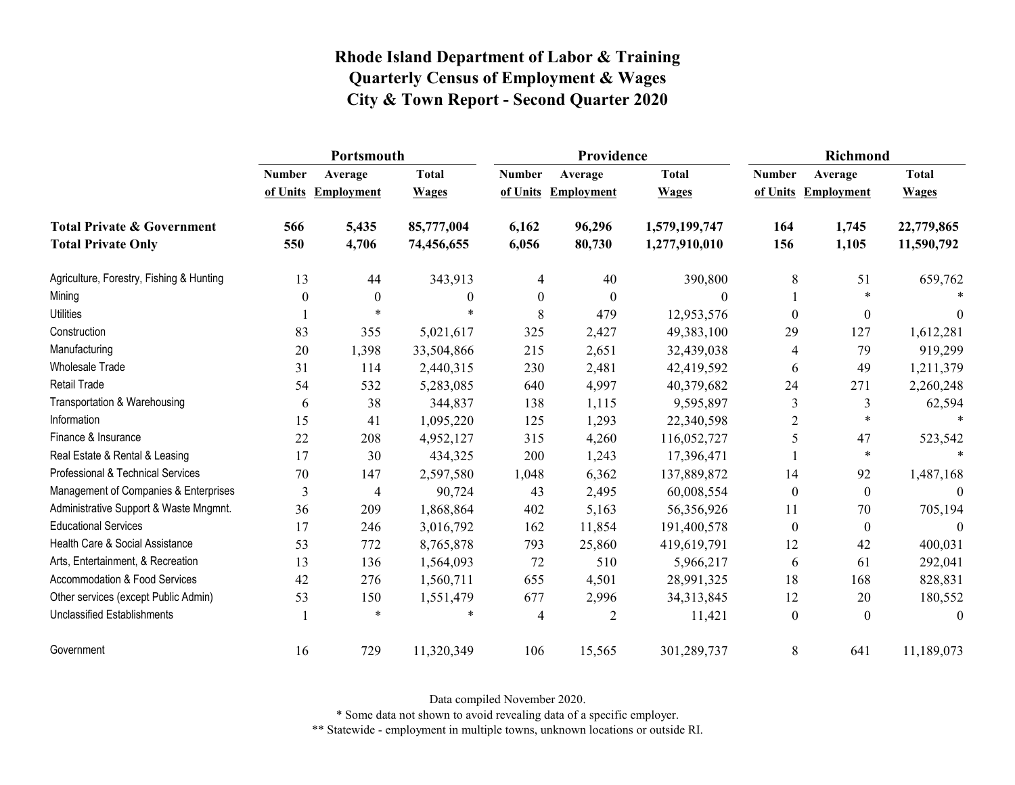|                                          | Portsmouth    |                     |                  | Providence       |                   | <b>Richmond</b>  |                  |                     |              |
|------------------------------------------|---------------|---------------------|------------------|------------------|-------------------|------------------|------------------|---------------------|--------------|
|                                          | <b>Number</b> | Average             | <b>Total</b>     | <b>Number</b>    | Average           | <b>Total</b>     | <b>Number</b>    | Average             | <b>Total</b> |
|                                          |               | of Units Employment | <b>Wages</b>     | of Units         | <b>Employment</b> | <b>Wages</b>     |                  | of Units Employment | <b>Wages</b> |
| <b>Total Private &amp; Government</b>    | 566           | 5,435               | 85,777,004       | 6,162            | 96,296            | 1,579,199,747    | 164              | 1,745               | 22,779,865   |
| <b>Total Private Only</b>                | 550           | 4,706               | 74,456,655       | 6,056            | 80,730            | 1,277,910,010    | 156              | 1,105               | 11,590,792   |
| Agriculture, Forestry, Fishing & Hunting | 13            | 44                  | 343,913          | 4                | 40                | 390,800          | 8                | 51                  | 659,762      |
| Mining                                   | $\theta$      | $\mathbf{0}$        | $\boldsymbol{0}$ | $\boldsymbol{0}$ | $\boldsymbol{0}$  | $\boldsymbol{0}$ |                  | $\ast$              |              |
| <b>Utilities</b>                         |               | $\ast$              |                  | 8                | 479               | 12,953,576       | $\theta$         | $\boldsymbol{0}$    | $\theta$     |
| Construction                             | 83            | 355                 | 5,021,617        | 325              | 2,427             | 49,383,100       | 29               | 127                 | 1,612,281    |
| Manufacturing                            | 20            | 1,398               | 33,504,866       | 215              | 2,651             | 32,439,038       | 4                | 79                  | 919,299      |
| Wholesale Trade                          | 31            | 114                 | 2,440,315        | 230              | 2,481             | 42,419,592       | 6                | 49                  | 1,211,379    |
| <b>Retail Trade</b>                      | 54            | 532                 | 5,283,085        | 640              | 4,997             | 40,379,682       | 24               | 271                 | 2,260,248    |
| Transportation & Warehousing             | 6             | 38                  | 344,837          | 138              | 1,115             | 9,595,897        | 3                | 3                   | 62,594       |
| Information                              | 15            | 41                  | 1,095,220        | 125              | 1,293             | 22,340,598       | $\overline{2}$   | $\ast$              | $\ast$       |
| Finance & Insurance                      | 22            | 208                 | 4,952,127        | 315              | 4,260             | 116,052,727      | 5                | 47                  | 523,542      |
| Real Estate & Rental & Leasing           | 17            | 30                  | 434,325          | 200              | 1,243             | 17,396,471       |                  | $\ast$              | $\ast$       |
| Professional & Technical Services        | 70            | 147                 | 2,597,580        | 1,048            | 6,362             | 137,889,872      | 14               | 92                  | 1,487,168    |
| Management of Companies & Enterprises    | 3             | 4                   | 90,724           | 43               | 2,495             | 60,008,554       | $\boldsymbol{0}$ | $\boldsymbol{0}$    | $\Omega$     |
| Administrative Support & Waste Mngmnt.   | 36            | 209                 | 1,868,864        | 402              | 5,163             | 56,356,926       | 11               | 70                  | 705,194      |
| <b>Educational Services</b>              | 17            | 246                 | 3,016,792        | 162              | 11,854            | 191,400,578      | $\mathbf{0}$     | $\mathbf{0}$        | $\Omega$     |
| Health Care & Social Assistance          | 53            | 772                 | 8,765,878        | 793              | 25,860            | 419,619,791      | 12               | 42                  | 400,031      |
| Arts, Entertainment, & Recreation        | 13            | 136                 | 1,564,093        | 72               | 510               | 5,966,217        | 6                | 61                  | 292,041      |
| Accommodation & Food Services            | 42            | 276                 | 1,560,711        | 655              | 4,501             | 28,991,325       | 18               | 168                 | 828,831      |
| Other services (except Public Admin)     | 53            | 150                 | 1,551,479        | 677              | 2,996             | 34,313,845       | 12               | 20                  | 180,552      |
| Unclassified Establishments              |               | $\ast$              |                  | 4                | 2                 | 11,421           | $\boldsymbol{0}$ | $\mathbf{0}$        | $\theta$     |
| Government                               | 16            | 729                 | 11,320,349       | 106              | 15,565            | 301,289,737      | 8                | 641                 | 11,189,073   |

Data compiled November 2020.

\* Some data not shown to avoid revealing data of a specific employer.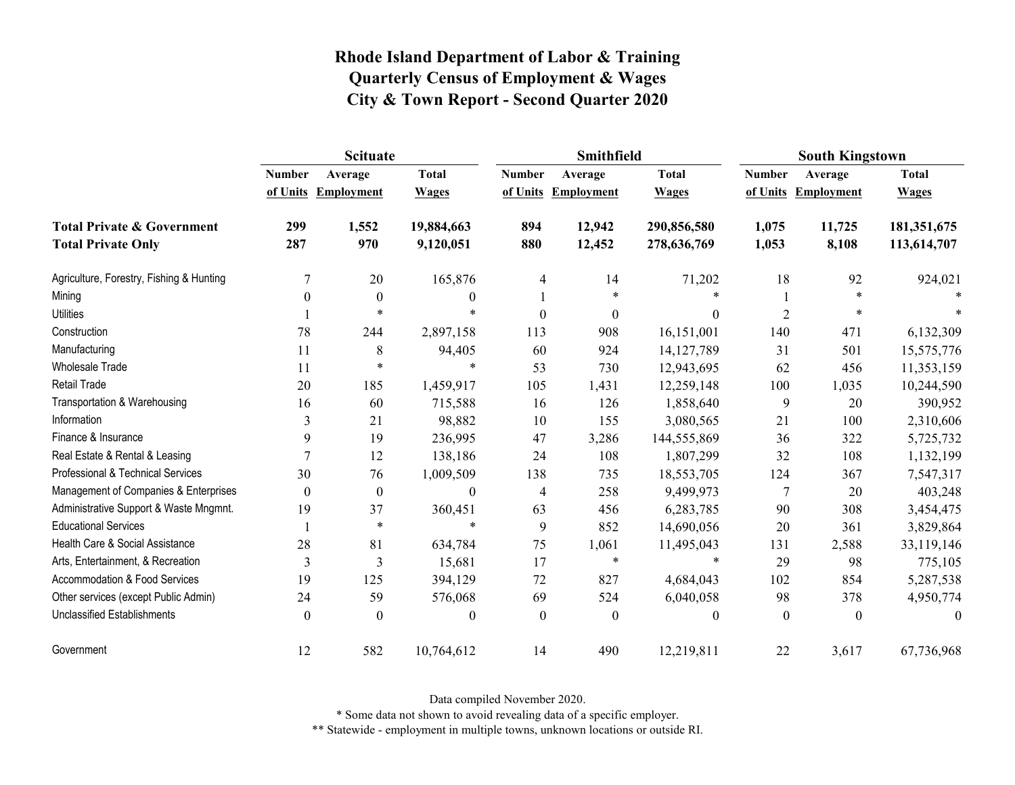|                                                                    | <b>Scituate</b> |                                |                              |                           | <b>Smithfield</b>            |                              | <b>South Kingstown</b>    |                              |                              |
|--------------------------------------------------------------------|-----------------|--------------------------------|------------------------------|---------------------------|------------------------------|------------------------------|---------------------------|------------------------------|------------------------------|
|                                                                    | <b>Number</b>   | Average<br>of Units Employment | <b>Total</b><br><b>Wages</b> | <b>Number</b><br>of Units | Average<br><b>Employment</b> | <b>Total</b><br><b>Wages</b> | <b>Number</b><br>of Units | Average<br><b>Employment</b> | <b>Total</b><br><b>Wages</b> |
| <b>Total Private &amp; Government</b><br><b>Total Private Only</b> | 299<br>287      | 1,552<br>970                   | 19,884,663<br>9,120,051      | 894<br>880                | 12,942<br>12,452             | 290,856,580<br>278,636,769   | 1,075<br>1,053            | 11,725<br>8,108              | 181,351,675<br>113,614,707   |
| Agriculture, Forestry, Fishing & Hunting                           | 7               | 20                             | 165,876                      | 4                         | 14                           | 71,202                       | 18                        | 92                           | 924,021                      |
| Mining                                                             | $\Omega$        | $\boldsymbol{0}$               | $\bf{0}$                     |                           | $\ast$                       | $\ast$                       |                           | $\ast$                       |                              |
| <b>Utilities</b>                                                   |                 | $\star$                        | $\ast$                       | $\theta$                  | $\boldsymbol{0}$             | $\theta$                     | $\overline{2}$            | *                            |                              |
| Construction                                                       | 78              | 244                            | 2,897,158                    | 113                       | 908                          | 16,151,001                   | 140                       | 471                          | 6,132,309                    |
| Manufacturing                                                      | 11              | 8                              | 94,405                       | 60                        | 924                          | 14, 127, 789                 | 31                        | 501                          | 15,575,776                   |
| Wholesale Trade                                                    | 11              | $\ast$                         | $\ast$                       | 53                        | 730                          | 12,943,695                   | 62                        | 456                          | 11,353,159                   |
| Retail Trade                                                       | 20              | 185                            | 1,459,917                    | 105                       | 1,431                        | 12,259,148                   | 100                       | 1,035                        | 10,244,590                   |
| Transportation & Warehousing                                       | 16              | 60                             | 715,588                      | 16                        | 126                          | 1,858,640                    | 9                         | 20                           | 390,952                      |
| Information                                                        | 3               | 21                             | 98,882                       | 10                        | 155                          | 3,080,565                    | 21                        | 100                          | 2,310,606                    |
| Finance & Insurance                                                | 9               | 19                             | 236,995                      | 47                        | 3,286                        | 144,555,869                  | 36                        | 322                          | 5,725,732                    |
| Real Estate & Rental & Leasing                                     | 7               | 12                             | 138,186                      | 24                        | 108                          | 1,807,299                    | 32                        | 108                          | 1,132,199                    |
| Professional & Technical Services                                  | 30              | 76                             | 1,009,509                    | 138                       | 735                          | 18,553,705                   | 124                       | 367                          | 7,547,317                    |
| Management of Companies & Enterprises                              | $\theta$        | $\boldsymbol{0}$               | $\boldsymbol{0}$             | 4                         | 258                          | 9,499,973                    | 7                         | 20                           | 403,248                      |
| Administrative Support & Waste Mngmnt.                             | 19              | 37                             | 360,451                      | 63                        | 456                          | 6,283,785                    | 90                        | 308                          | 3,454,475                    |
| <b>Educational Services</b>                                        |                 | $\ast$                         | $\ast$                       | 9                         | 852                          | 14,690,056                   | 20                        | 361                          | 3,829,864                    |
| Health Care & Social Assistance                                    | 28              | 81                             | 634,784                      | 75                        | 1,061                        | 11,495,043                   | 131                       | 2,588                        | 33,119,146                   |
| Arts, Entertainment, & Recreation                                  | 3               | 3                              | 15,681                       | 17                        | $\ast$                       | $\ast$                       | 29                        | 98                           | 775,105                      |
| <b>Accommodation &amp; Food Services</b>                           | 19              | 125                            | 394,129                      | 72                        | 827                          | 4,684,043                    | 102                       | 854                          | 5,287,538                    |
| Other services (except Public Admin)                               | 24              | 59                             | 576,068                      | 69                        | 524                          | 6,040,058                    | 98                        | 378                          | 4,950,774                    |
| Unclassified Establishments                                        | $\Omega$        | $\Omega$                       | $\mathbf{0}$                 | $\mathbf{0}$              | $\boldsymbol{0}$             | $\boldsymbol{0}$             | $\boldsymbol{0}$          | $\theta$                     | $\theta$                     |
| Government                                                         | 12              | 582                            | 10,764,612                   | 14                        | 490                          | 12,219,811                   | 22                        | 3,617                        | 67,736,968                   |

Data compiled November 2020.

\* Some data not shown to avoid revealing data of a specific employer.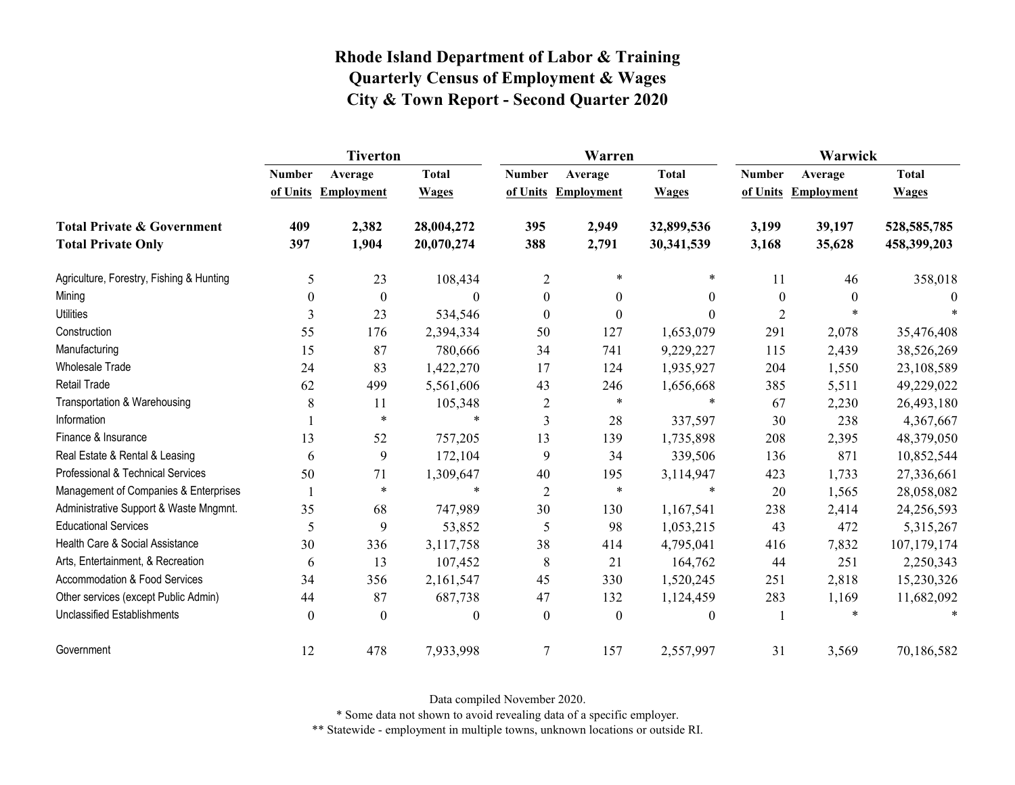|                                          | <b>Tiverton</b>           |                              |                              |                  | Warren                         |                              | Warwick                   |                              |                              |  |
|------------------------------------------|---------------------------|------------------------------|------------------------------|------------------|--------------------------------|------------------------------|---------------------------|------------------------------|------------------------------|--|
|                                          | <b>Number</b><br>of Units | Average<br><b>Employment</b> | <b>Total</b><br><b>Wages</b> | <b>Number</b>    | Average<br>of Units Employment | <b>Total</b><br><b>Wages</b> | <b>Number</b><br>of Units | Average<br><b>Employment</b> | <b>Total</b><br><b>Wages</b> |  |
|                                          |                           |                              |                              |                  |                                |                              |                           |                              |                              |  |
| <b>Total Private &amp; Government</b>    | 409                       | 2,382                        | 28,004,272                   | 395              | 2,949                          | 32,899,536                   | 3,199                     | 39,197                       | 528, 585, 785                |  |
| <b>Total Private Only</b>                | 397                       | 1,904                        | 20,070,274                   | 388              | 2,791                          | 30,341,539                   | 3,168                     | 35,628                       | 458,399,203                  |  |
| Agriculture, Forestry, Fishing & Hunting | 5                         | 23                           | 108,434                      | 2                | $\star$                        | *                            | 11                        | 46                           | 358,018                      |  |
| Mining                                   | $\theta$                  | $\boldsymbol{0}$             | $\theta$                     | $\boldsymbol{0}$ | $\mathbf{0}$                   | $\overline{0}$               | $\boldsymbol{0}$          | $\theta$                     | $\theta$                     |  |
| <b>Utilities</b>                         | 3                         | 23                           | 534,546                      | $\boldsymbol{0}$ | $\boldsymbol{0}$               | $\theta$                     | $\overline{2}$            | $\ast$                       |                              |  |
| Construction                             | 55                        | 176                          | 2,394,334                    | 50               | 127                            | 1,653,079                    | 291                       | 2,078                        | 35,476,408                   |  |
| Manufacturing                            | 15                        | 87                           | 780,666                      | 34               | 741                            | 9,229,227                    | 115                       | 2,439                        | 38,526,269                   |  |
| Wholesale Trade                          | 24                        | 83                           | 1,422,270                    | 17               | 124                            | 1,935,927                    | 204                       | 1,550                        | 23,108,589                   |  |
| <b>Retail Trade</b>                      | 62                        | 499                          | 5,561,606                    | 43               | 246                            | 1,656,668                    | 385                       | 5,511                        | 49,229,022                   |  |
| Transportation & Warehousing             | 8                         | 11                           | 105,348                      | 2                | $\star$                        | $\ast$                       | 67                        | 2,230                        | 26,493,180                   |  |
| Information                              |                           | $\ast$                       |                              | 3                | 28                             | 337,597                      | 30                        | 238                          | 4,367,667                    |  |
| Finance & Insurance                      | 13                        | 52                           | 757,205                      | 13               | 139                            | 1,735,898                    | 208                       | 2,395                        | 48,379,050                   |  |
| Real Estate & Rental & Leasing           | 6                         | 9                            | 172,104                      | 9                | 34                             | 339,506                      | 136                       | 871                          | 10,852,544                   |  |
| Professional & Technical Services        | 50                        | 71                           | 1,309,647                    | 40               | 195                            | 3,114,947                    | 423                       | 1,733                        | 27,336,661                   |  |
| Management of Companies & Enterprises    |                           | $\ast$                       | $\ast$                       | $\overline{2}$   | $\ast$                         | $\ast$                       | 20                        | 1,565                        | 28,058,082                   |  |
| Administrative Support & Waste Mngmnt.   | 35                        | 68                           | 747,989                      | 30               | 130                            | 1,167,541                    | 238                       | 2,414                        | 24,256,593                   |  |
| <b>Educational Services</b>              | 5                         | 9                            | 53,852                       | 5                | 98                             | 1,053,215                    | 43                        | 472                          | 5,315,267                    |  |
| Health Care & Social Assistance          | 30                        | 336                          | 3,117,758                    | 38               | 414                            | 4,795,041                    | 416                       | 7,832                        | 107,179,174                  |  |
| Arts, Entertainment, & Recreation        | 6                         | 13                           | 107,452                      | 8                | 21                             | 164,762                      | 44                        | 251                          | 2,250,343                    |  |
| <b>Accommodation &amp; Food Services</b> | 34                        | 356                          | 2,161,547                    | 45               | 330                            | 1,520,245                    | 251                       | 2,818                        | 15,230,326                   |  |
| Other services (except Public Admin)     | 44                        | 87                           | 687,738                      | 47               | 132                            | 1,124,459                    | 283                       | 1,169                        | 11,682,092                   |  |
| <b>Unclassified Establishments</b>       | $\theta$                  | $\theta$                     | $\theta$                     | $\mathbf{0}$     | $\boldsymbol{0}$               | $\theta$                     |                           | $\ast$                       |                              |  |
| Government                               | 12                        | 478                          | 7,933,998                    | $\overline{7}$   | 157                            | 2,557,997                    | 31                        | 3,569                        | 70,186,582                   |  |

Data compiled November 2020.

\* Some data not shown to avoid revealing data of a specific employer.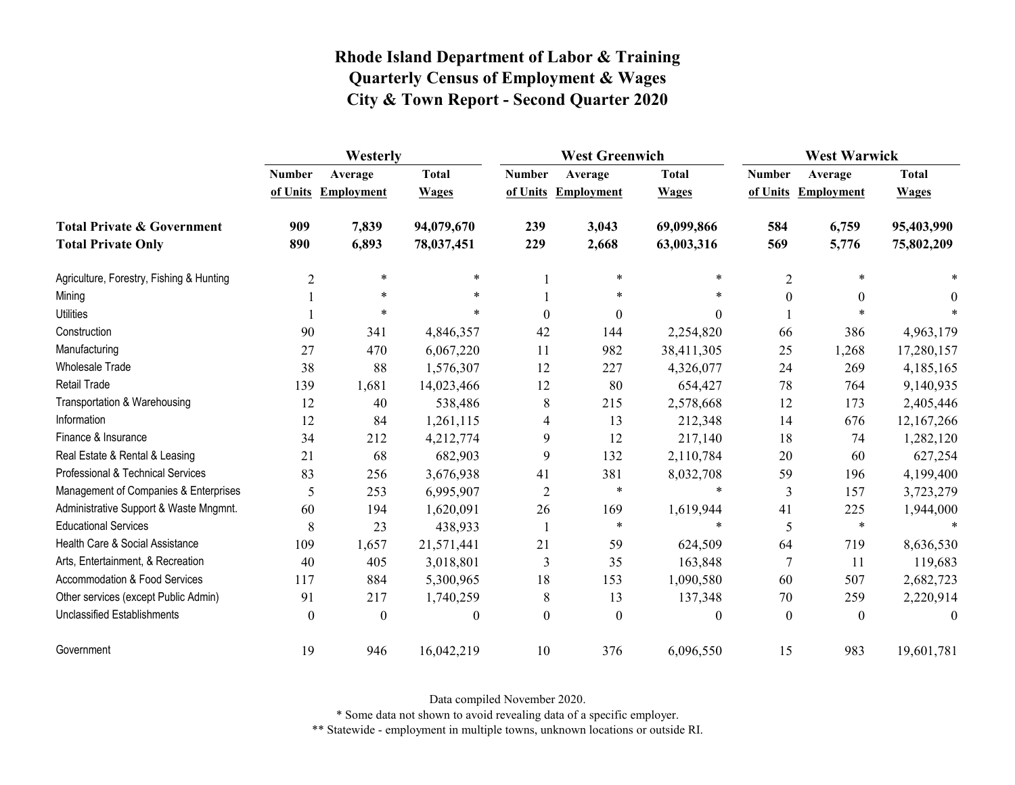|                                          | Westerly                  |                              |                              |                | <b>West Greenwich</b>          |                              |                  | <b>West Warwick</b>            |                              |  |
|------------------------------------------|---------------------------|------------------------------|------------------------------|----------------|--------------------------------|------------------------------|------------------|--------------------------------|------------------------------|--|
|                                          | <b>Number</b><br>of Units | Average<br><b>Employment</b> | <b>Total</b><br><b>Wages</b> | <b>Number</b>  | Average<br>of Units Employment | <b>Total</b><br><b>Wages</b> | <b>Number</b>    | Average<br>of Units Employment | <b>Total</b><br><b>Wages</b> |  |
| <b>Total Private &amp; Government</b>    | 909                       | 7,839                        | 94,079,670                   | 239            | 3,043                          | 69,099,866                   | 584              | 6,759                          | 95,403,990                   |  |
| <b>Total Private Only</b>                | 890                       | 6,893                        | 78,037,451                   | 229            | 2,668                          | 63,003,316                   | 569              | 5,776                          | 75,802,209                   |  |
| Agriculture, Forestry, Fishing & Hunting | $\overline{2}$            | $\ast$                       | $\ast$                       |                | $\ast$                         | $\ast$                       | $\overline{2}$   | $\ast$                         |                              |  |
| Mining                                   |                           | $\ast$                       | $\ast$                       |                | $\ast$                         | $\ast$                       | $\boldsymbol{0}$ | $\boldsymbol{0}$               | $\theta$                     |  |
| <b>Utilities</b>                         |                           | $\ast$                       | $\ast$                       | $\theta$       | $\theta$                       | $\theta$                     |                  | $\ast$                         |                              |  |
| Construction                             | 90                        | 341                          | 4,846,357                    | 42             | 144                            | 2,254,820                    | 66               | 386                            | 4,963,179                    |  |
| Manufacturing                            | 27                        | 470                          | 6,067,220                    | 11             | 982                            | 38,411,305                   | 25               | 1,268                          | 17,280,157                   |  |
| Wholesale Trade                          | 38                        | 88                           | 1,576,307                    | 12             | 227                            | 4,326,077                    | 24               | 269                            | 4,185,165                    |  |
| <b>Retail Trade</b>                      | 139                       | 1,681                        | 14,023,466                   | 12             | 80                             | 654,427                      | 78               | 764                            | 9,140,935                    |  |
| Transportation & Warehousing             | 12                        | 40                           | 538,486                      | 8              | 215                            | 2,578,668                    | 12               | 173                            | 2,405,446                    |  |
| Information                              | 12                        | 84                           | 1,261,115                    | 4              | 13                             | 212,348                      | 14               | 676                            | 12,167,266                   |  |
| Finance & Insurance                      | 34                        | 212                          | 4,212,774                    | 9              | 12                             | 217,140                      | 18               | 74                             | 1,282,120                    |  |
| Real Estate & Rental & Leasing           | 21                        | 68                           | 682,903                      | 9              | 132                            | 2,110,784                    | 20               | 60                             | 627,254                      |  |
| Professional & Technical Services        | 83                        | 256                          | 3,676,938                    | 41             | 381                            | 8,032,708                    | 59               | 196                            | 4,199,400                    |  |
| Management of Companies & Enterprises    | 5                         | 253                          | 6,995,907                    | $\overline{2}$ | $\ast$                         | $\star$                      | 3                | 157                            | 3,723,279                    |  |
| Administrative Support & Waste Mngmnt.   | 60                        | 194                          | 1,620,091                    | 26             | 169                            | 1,619,944                    | 41               | 225                            | 1,944,000                    |  |
| <b>Educational Services</b>              | 8                         | 23                           | 438,933                      | -1             | $\star$                        | $\star$                      | 5                | $\ast$                         |                              |  |
| Health Care & Social Assistance          | 109                       | 1,657                        | 21,571,441                   | 21             | 59                             | 624,509                      | 64               | 719                            | 8,636,530                    |  |
| Arts, Entertainment, & Recreation        | 40                        | 405                          | 3,018,801                    | 3              | 35                             | 163,848                      | 7                | 11                             | 119,683                      |  |
| <b>Accommodation &amp; Food Services</b> | 117                       | 884                          | 5,300,965                    | 18             | 153                            | 1,090,580                    | 60               | 507                            | 2,682,723                    |  |
| Other services (except Public Admin)     | 91                        | 217                          | 1,740,259                    | 8              | 13                             | 137,348                      | 70               | 259                            | 2,220,914                    |  |
| <b>Unclassified Establishments</b>       | $\theta$                  | $\theta$                     | $\theta$                     | $\theta$       | $\theta$                       | $\theta$                     | $\theta$         | $\theta$                       | $\theta$                     |  |
| Government                               | 19                        | 946                          | 16,042,219                   | 10             | 376                            | 6,096,550                    | 15               | 983                            | 19,601,781                   |  |

Data compiled November 2020.

\* Some data not shown to avoid revealing data of a specific employer.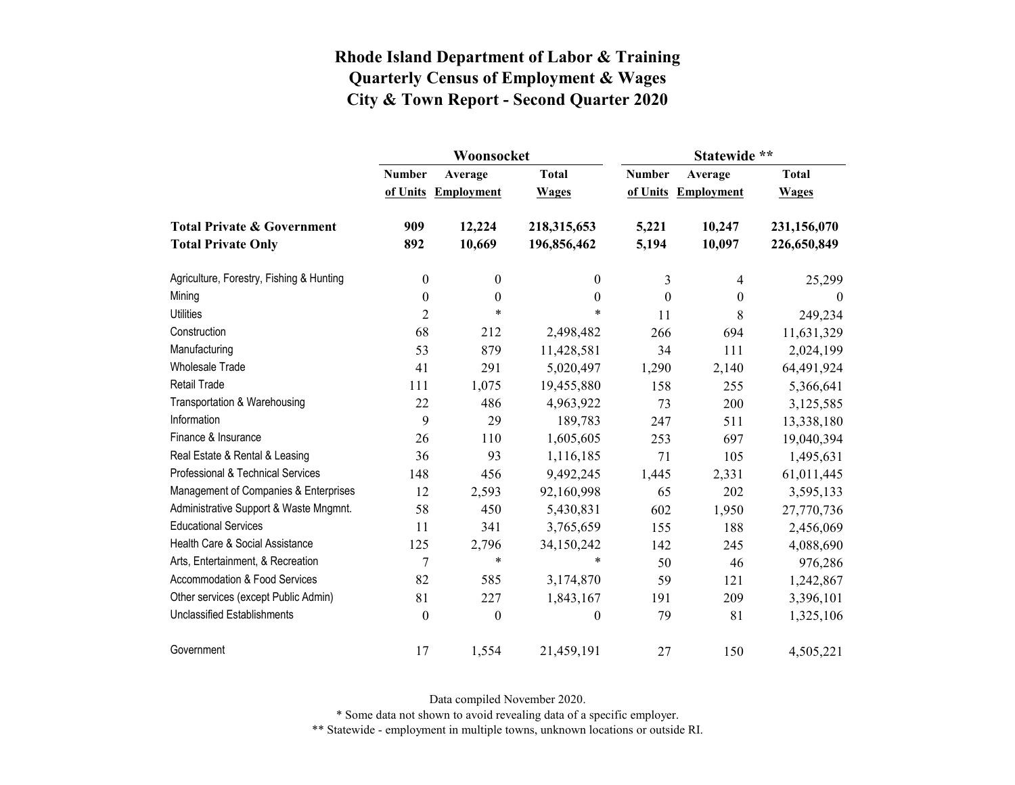|                                          |                  | Woonsocket        |                  | Statewide **     |                     |                  |  |
|------------------------------------------|------------------|-------------------|------------------|------------------|---------------------|------------------|--|
|                                          | <b>Number</b>    | Average           | <b>Total</b>     | <b>Number</b>    | Average             | <b>Total</b>     |  |
|                                          | of Units         | <b>Employment</b> | <b>Wages</b>     |                  | of Units Employment | <b>Wages</b>     |  |
| <b>Total Private &amp; Government</b>    | 909              | 12,224            | 218,315,653      | 5,221            | 10,247              | 231,156,070      |  |
| <b>Total Private Only</b>                | 892              | 10,669            | 196,856,462      | 5,194            | 10,097              | 226,650,849      |  |
| Agriculture, Forestry, Fishing & Hunting | $\boldsymbol{0}$ | $\boldsymbol{0}$  | $\mathbf{0}$     | 3                | 4                   | 25,299           |  |
| Mining                                   | $\boldsymbol{0}$ | $\boldsymbol{0}$  | $\boldsymbol{0}$ | $\boldsymbol{0}$ | $\boldsymbol{0}$    | $\boldsymbol{0}$ |  |
| <b>Utilities</b>                         | $\overline{c}$   | $\ast$            | $\ast$           | 11               | 8                   | 249,234          |  |
| Construction                             | 68               | 212               | 2,498,482        | 266              | 694                 | 11,631,329       |  |
| Manufacturing                            | 53               | 879               | 11,428,581       | 34               | 111                 | 2,024,199        |  |
| <b>Wholesale Trade</b>                   | 41               | 291               | 5,020,497        | 1,290            | 2,140               | 64,491,924       |  |
| Retail Trade                             | 111              | 1,075             | 19,455,880       | 158              | 255                 | 5,366,641        |  |
| Transportation & Warehousing             | 22               | 486               | 4,963,922        | 73               | 200                 | 3,125,585        |  |
| Information                              | 9                | 29                | 189,783          | 247              | 511                 | 13,338,180       |  |
| Finance & Insurance                      | 26               | 110               | 1,605,605        | 253              | 697                 | 19,040,394       |  |
| Real Estate & Rental & Leasing           | 36               | 93                | 1,116,185        | 71               | 105                 | 1,495,631        |  |
| Professional & Technical Services        | 148              | 456               | 9,492,245        | 1,445            | 2,331               | 61,011,445       |  |
| Management of Companies & Enterprises    | 12               | 2,593             | 92,160,998       | 65               | 202                 | 3,595,133        |  |
| Administrative Support & Waste Mngmnt.   | 58               | 450               | 5,430,831        | 602              | 1,950               | 27,770,736       |  |
| <b>Educational Services</b>              | 11               | 341               | 3,765,659        | 155              | 188                 | 2,456,069        |  |
| Health Care & Social Assistance          | 125              | 2,796             | 34,150,242       | 142              | 245                 | 4,088,690        |  |
| Arts, Entertainment, & Recreation        | $\overline{7}$   | $\ast$            | $\ast$           | 50               | 46                  | 976,286          |  |
| Accommodation & Food Services            | 82               | 585               | 3,174,870        | 59               | 121                 | 1,242,867        |  |
| Other services (except Public Admin)     | 81               | 227               | 1,843,167        | 191              | 209                 | 3,396,101        |  |
| <b>Unclassified Establishments</b>       | $\boldsymbol{0}$ | $\boldsymbol{0}$  | $\boldsymbol{0}$ | 79               | 81                  | 1,325,106        |  |
| Government                               | 17               | 1,554             | 21,459,191       | 27               | 150                 | 4,505,221        |  |

Data compiled November 2020.

\* Some data not shown to avoid revealing data of a specific employer.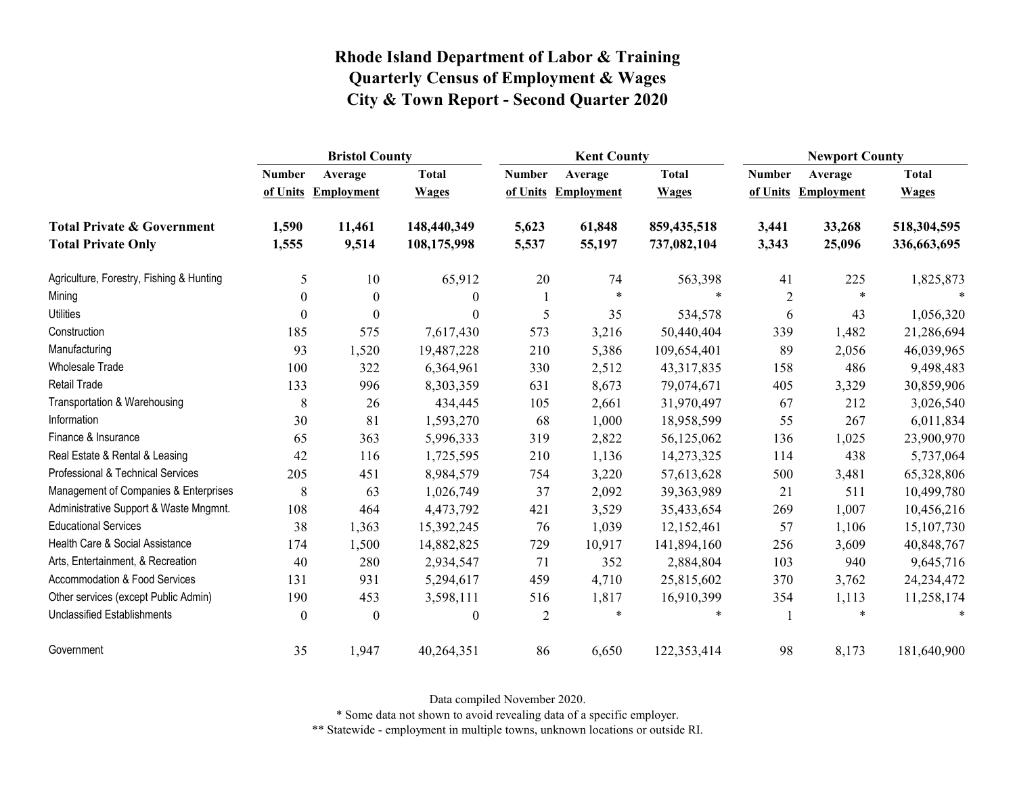|                                          | <b>Bristol County</b> |                   |                  |                | <b>Kent County</b>  |              |                | <b>Newport County</b> |              |  |
|------------------------------------------|-----------------------|-------------------|------------------|----------------|---------------------|--------------|----------------|-----------------------|--------------|--|
|                                          | <b>Number</b>         | Average           | <b>Total</b>     | <b>Number</b>  | Average             | <b>Total</b> | <b>Number</b>  | Average               | <b>Total</b> |  |
|                                          | of Units              | <b>Employment</b> | <b>Wages</b>     |                | of Units Employment | <b>Wages</b> | of Units       | <b>Employment</b>     | <b>Wages</b> |  |
| <b>Total Private &amp; Government</b>    | 1,590                 | 11,461            | 148,440,349      | 5,623          | 61,848              | 859,435,518  | 3,441          | 33,268                | 518,304,595  |  |
| <b>Total Private Only</b>                | 1,555                 | 9,514             | 108,175,998      | 5,537          | 55,197              | 737,082,104  | 3,343          | 25,096                | 336,663,695  |  |
| Agriculture, Forestry, Fishing & Hunting | 5                     | 10                | 65,912           | 20             | 74                  | 563,398      | 41             | 225                   | 1,825,873    |  |
| Mining                                   | $\mathbf{0}$          | $\boldsymbol{0}$  | $\mathbf{0}$     | 1              | $\ast$              | $\ast$       | $\overline{2}$ | $\ast$                |              |  |
| <b>Utilities</b>                         | $\Omega$              | $\theta$          | $\Omega$         | 5              | 35                  | 534,578      | 6              | 43                    | 1,056,320    |  |
| Construction                             | 185                   | 575               | 7,617,430        | 573            | 3,216               | 50,440,404   | 339            | 1,482                 | 21,286,694   |  |
| Manufacturing                            | 93                    | 1,520             | 19,487,228       | 210            | 5,386               | 109,654,401  | 89             | 2,056                 | 46,039,965   |  |
| <b>Wholesale Trade</b>                   | 100                   | 322               | 6,364,961        | 330            | 2,512               | 43,317,835   | 158            | 486                   | 9,498,483    |  |
| Retail Trade                             | 133                   | 996               | 8,303,359        | 631            | 8,673               | 79,074,671   | 405            | 3,329                 | 30,859,906   |  |
| Transportation & Warehousing             | 8                     | 26                | 434,445          | 105            | 2,661               | 31,970,497   | 67             | 212                   | 3,026,540    |  |
| Information                              | 30                    | 81                | 1,593,270        | 68             | 1,000               | 18,958,599   | 55             | 267                   | 6,011,834    |  |
| Finance & Insurance                      | 65                    | 363               | 5,996,333        | 319            | 2,822               | 56,125,062   | 136            | 1,025                 | 23,900,970   |  |
| Real Estate & Rental & Leasing           | 42                    | 116               | 1,725,595        | 210            | 1,136               | 14,273,325   | 114            | 438                   | 5,737,064    |  |
| Professional & Technical Services        | 205                   | 451               | 8,984,579        | 754            | 3,220               | 57,613,628   | 500            | 3,481                 | 65,328,806   |  |
| Management of Companies & Enterprises    | 8                     | 63                | 1,026,749        | 37             | 2,092               | 39,363,989   | 21             | 511                   | 10,499,780   |  |
| Administrative Support & Waste Mngmnt.   | 108                   | 464               | 4,473,792        | 421            | 3,529               | 35,433,654   | 269            | 1,007                 | 10,456,216   |  |
| <b>Educational Services</b>              | 38                    | 1,363             | 15,392,245       | 76             | 1,039               | 12,152,461   | 57             | 1,106                 | 15,107,730   |  |
| Health Care & Social Assistance          | 174                   | 1,500             | 14,882,825       | 729            | 10,917              | 141,894,160  | 256            | 3,609                 | 40,848,767   |  |
| Arts, Entertainment, & Recreation        | 40                    | 280               | 2,934,547        | 71             | 352                 | 2,884,804    | 103            | 940                   | 9,645,716    |  |
| <b>Accommodation &amp; Food Services</b> | 131                   | 931               | 5,294,617        | 459            | 4,710               | 25,815,602   | 370            | 3,762                 | 24, 234, 472 |  |
| Other services (except Public Admin)     | 190                   | 453               | 3,598,111        | 516            | 1,817               | 16,910,399   | 354            | 1,113                 | 11,258,174   |  |
| <b>Unclassified Establishments</b>       | $\boldsymbol{0}$      | $\boldsymbol{0}$  | $\boldsymbol{0}$ | $\overline{2}$ | $\ast$              | $\ast$       |                | *                     | $\ast$       |  |
| Government                               | 35                    | 1,947             | 40,264,351       | 86             | 6,650               | 122,353,414  | 98             | 8,173                 | 181,640,900  |  |

Data compiled November 2020.

\* Some data not shown to avoid revealing data of a specific employer.